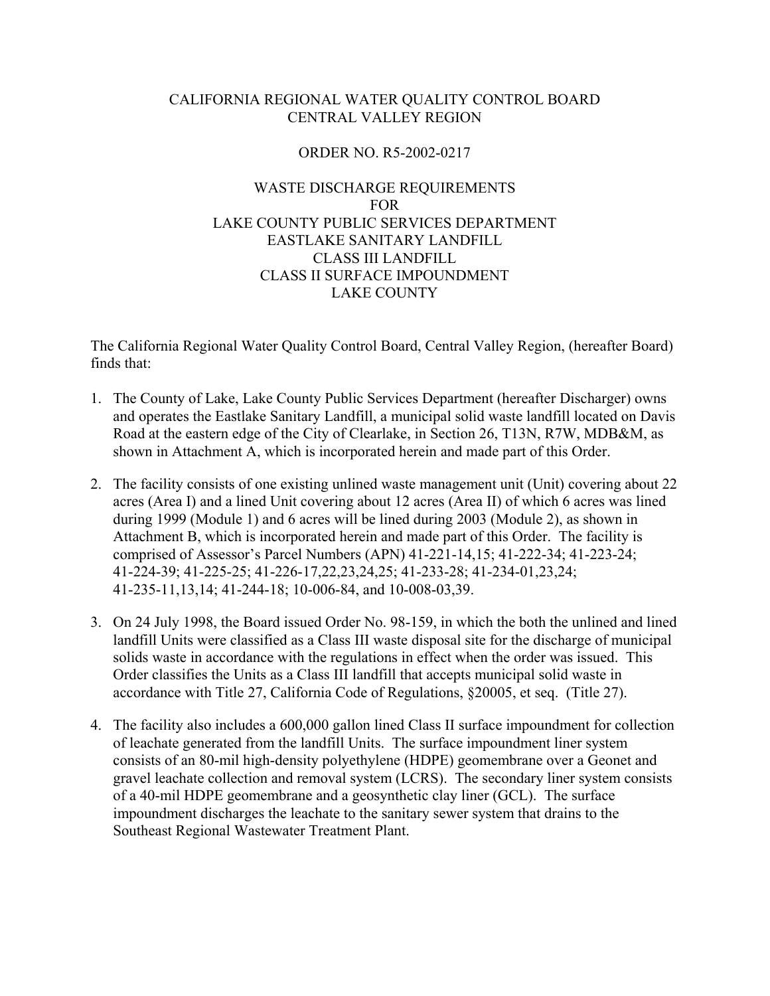# CALIFORNIA REGIONAL WATER QUALITY CONTROL BOARD CENTRAL VALLEY REGION

# ORDER NO. R5-2002-0217

# WASTE DISCHARGE REQUIREMENTS FOR LAKE COUNTY PUBLIC SERVICES DEPARTMENT EASTLAKE SANITARY LANDFILL CLASS III LANDFILL CLASS II SURFACE IMPOUNDMENT LAKE COUNTY

The California Regional Water Quality Control Board, Central Valley Region, (hereafter Board) finds that:

- 1. The County of Lake, Lake County Public Services Department (hereafter Discharger) owns and operates the Eastlake Sanitary Landfill, a municipal solid waste landfill located on Davis Road at the eastern edge of the City of Clearlake, in Section 26, T13N, R7W, MDB&M, as shown in Attachment A, which is incorporated herein and made part of this Order.
- 2. The facility consists of one existing unlined waste management unit (Unit) covering about 22 acres (Area I) and a lined Unit covering about 12 acres (Area II) of which 6 acres was lined during 1999 (Module 1) and 6 acres will be lined during 2003 (Module 2), as shown in Attachment B, which is incorporated herein and made part of this Order. The facility is comprised of Assessor's Parcel Numbers (APN) 41-221-14,15; 41-222-34; 41-223-24; 41-224-39; 41-225-25; 41-226-17,22,23,24,25; 41-233-28; 41-234-01,23,24; 41-235-11,13,14; 41-244-18; 10-006-84, and 10-008-03,39.
- 3. On 24 July 1998, the Board issued Order No. 98-159, in which the both the unlined and lined landfill Units were classified as a Class III waste disposal site for the discharge of municipal solids waste in accordance with the regulations in effect when the order was issued. This Order classifies the Units as a Class III landfill that accepts municipal solid waste in accordance with Title 27, California Code of Regulations, §20005, et seq. (Title 27).
- 4. The facility also includes a 600,000 gallon lined Class II surface impoundment for collection of leachate generated from the landfill Units. The surface impoundment liner system consists of an 80-mil high-density polyethylene (HDPE) geomembrane over a Geonet and gravel leachate collection and removal system (LCRS). The secondary liner system consists of a 40-mil HDPE geomembrane and a geosynthetic clay liner (GCL). The surface impoundment discharges the leachate to the sanitary sewer system that drains to the Southeast Regional Wastewater Treatment Plant.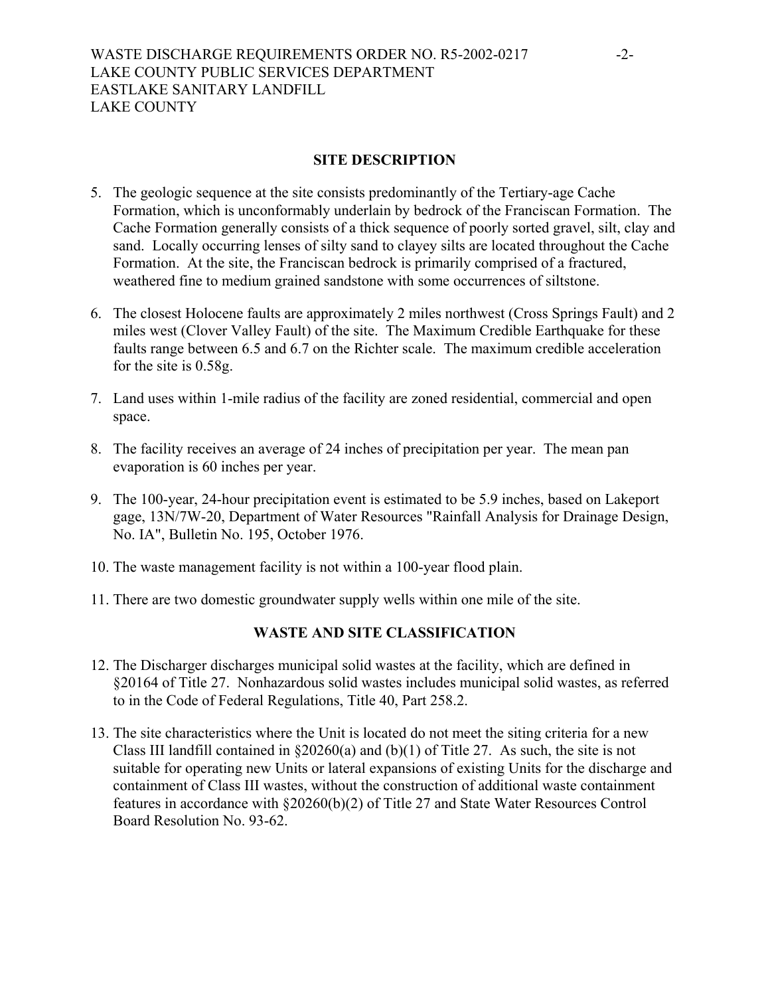## **SITE DESCRIPTION**

- 5. The geologic sequence at the site consists predominantly of the Tertiary-age Cache Formation, which is unconformably underlain by bedrock of the Franciscan Formation. The Cache Formation generally consists of a thick sequence of poorly sorted gravel, silt, clay and sand. Locally occurring lenses of silty sand to clayey silts are located throughout the Cache Formation. At the site, the Franciscan bedrock is primarily comprised of a fractured, weathered fine to medium grained sandstone with some occurrences of siltstone.
- 6. The closest Holocene faults are approximately 2 miles northwest (Cross Springs Fault) and 2 miles west (Clover Valley Fault) of the site. The Maximum Credible Earthquake for these faults range between 6.5 and 6.7 on the Richter scale. The maximum credible acceleration for the site is 0.58g.
- 7. Land uses within 1-mile radius of the facility are zoned residential, commercial and open space.
- 8. The facility receives an average of 24 inches of precipitation per year. The mean pan evaporation is 60 inches per year.
- 9. The 100-year, 24-hour precipitation event is estimated to be 5.9 inches, based on Lakeport gage, 13N/7W-20, Department of Water Resources "Rainfall Analysis for Drainage Design, No. IA", Bulletin No. 195, October 1976.
- 10. The waste management facility is not within a 100-year flood plain.
- 11. There are two domestic groundwater supply wells within one mile of the site.

# **WASTE AND SITE CLASSIFICATION**

- 12. The Discharger discharges municipal solid wastes at the facility, which are defined in §20164 of Title 27. Nonhazardous solid wastes includes municipal solid wastes, as referred to in the Code of Federal Regulations, Title 40, Part 258.2.
- 13. The site characteristics where the Unit is located do not meet the siting criteria for a new Class III landfill contained in  $\S 20260(a)$  and (b)(1) of Title 27. As such, the site is not suitable for operating new Units or lateral expansions of existing Units for the discharge and containment of Class III wastes, without the construction of additional waste containment features in accordance with §20260(b)(2) of Title 27 and State Water Resources Control Board Resolution No. 93-62.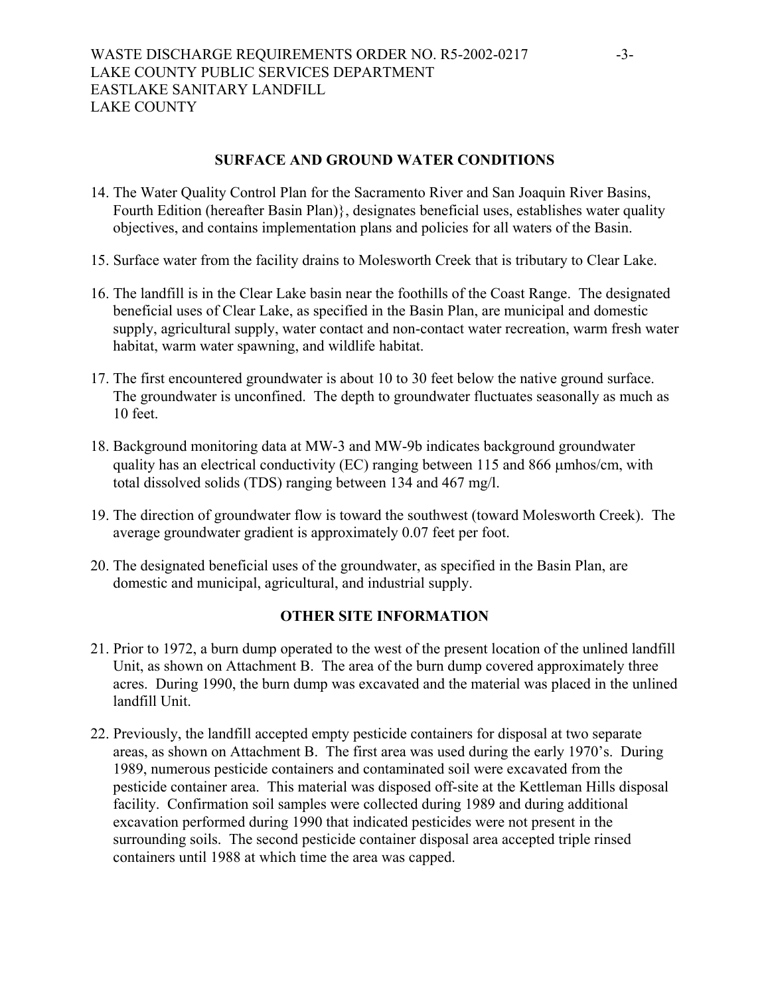## **SURFACE AND GROUND WATER CONDITIONS**

- 14. The Water Quality Control Plan for the Sacramento River and San Joaquin River Basins, Fourth Edition (hereafter Basin Plan)}, designates beneficial uses, establishes water quality objectives, and contains implementation plans and policies for all waters of the Basin.
- 15. Surface water from the facility drains to Molesworth Creek that is tributary to Clear Lake.
- 16. The landfill is in the Clear Lake basin near the foothills of the Coast Range. The designated beneficial uses of Clear Lake, as specified in the Basin Plan, are municipal and domestic supply, agricultural supply, water contact and non-contact water recreation, warm fresh water habitat, warm water spawning, and wildlife habitat.
- 17. The first encountered groundwater is about 10 to 30 feet below the native ground surface. The groundwater is unconfined. The depth to groundwater fluctuates seasonally as much as 10 feet.
- 18. Background monitoring data at MW-3 and MW-9b indicates background groundwater quality has an electrical conductivity (EC) ranging between 115 and 866 µmhos/cm, with total dissolved solids (TDS) ranging between 134 and 467 mg/l.
- 19. The direction of groundwater flow is toward the southwest (toward Molesworth Creek). The average groundwater gradient is approximately 0.07 feet per foot.
- 20. The designated beneficial uses of the groundwater, as specified in the Basin Plan, are domestic and municipal, agricultural, and industrial supply.

## **OTHER SITE INFORMATION**

- 21. Prior to 1972, a burn dump operated to the west of the present location of the unlined landfill Unit, as shown on Attachment B. The area of the burn dump covered approximately three acres. During 1990, the burn dump was excavated and the material was placed in the unlined landfill Unit.
- 22. Previously, the landfill accepted empty pesticide containers for disposal at two separate areas, as shown on Attachment B. The first area was used during the early 1970's. During 1989, numerous pesticide containers and contaminated soil were excavated from the pesticide container area. This material was disposed off-site at the Kettleman Hills disposal facility. Confirmation soil samples were collected during 1989 and during additional excavation performed during 1990 that indicated pesticides were not present in the surrounding soils. The second pesticide container disposal area accepted triple rinsed containers until 1988 at which time the area was capped.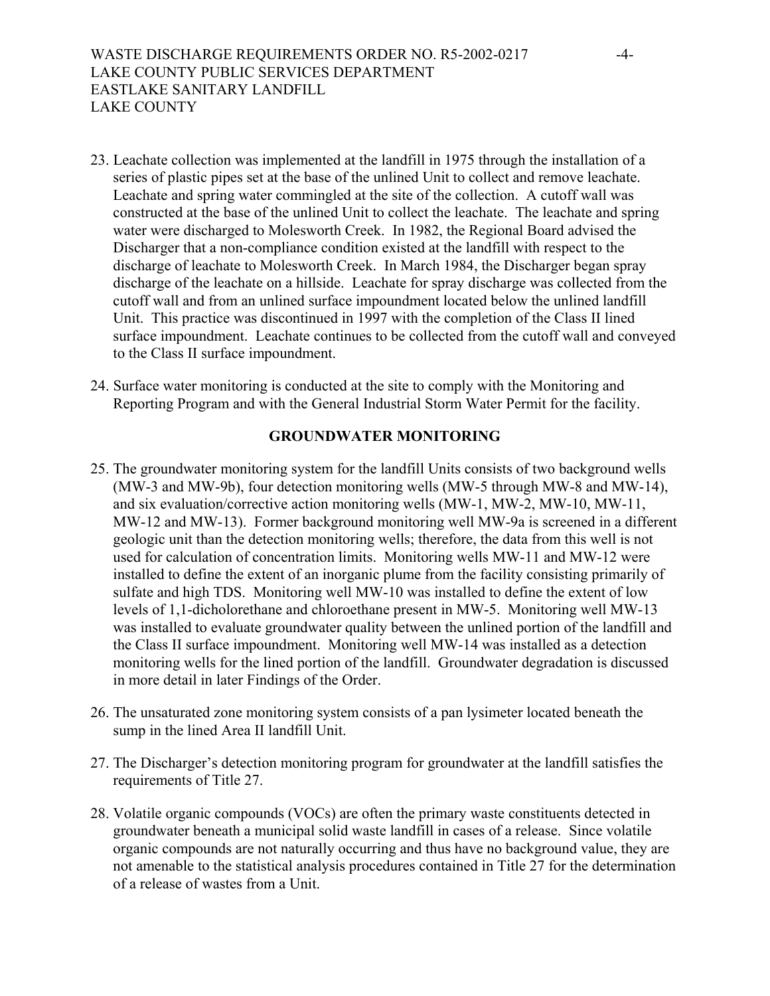- 23. Leachate collection was implemented at the landfill in 1975 through the installation of a series of plastic pipes set at the base of the unlined Unit to collect and remove leachate. Leachate and spring water commingled at the site of the collection. A cutoff wall was constructed at the base of the unlined Unit to collect the leachate. The leachate and spring water were discharged to Molesworth Creek. In 1982, the Regional Board advised the Discharger that a non-compliance condition existed at the landfill with respect to the discharge of leachate to Molesworth Creek. In March 1984, the Discharger began spray discharge of the leachate on a hillside. Leachate for spray discharge was collected from the cutoff wall and from an unlined surface impoundment located below the unlined landfill Unit. This practice was discontinued in 1997 with the completion of the Class II lined surface impoundment. Leachate continues to be collected from the cutoff wall and conveyed to the Class II surface impoundment.
- 24. Surface water monitoring is conducted at the site to comply with the Monitoring and Reporting Program and with the General Industrial Storm Water Permit for the facility.

# **GROUNDWATER MONITORING**

- 25. The groundwater monitoring system for the landfill Units consists of two background wells (MW-3 and MW-9b), four detection monitoring wells (MW-5 through MW-8 and MW-14), and six evaluation/corrective action monitoring wells (MW-1, MW-2, MW-10, MW-11, MW-12 and MW-13). Former background monitoring well MW-9a is screened in a different geologic unit than the detection monitoring wells; therefore, the data from this well is not used for calculation of concentration limits. Monitoring wells MW-11 and MW-12 were installed to define the extent of an inorganic plume from the facility consisting primarily of sulfate and high TDS. Monitoring well MW-10 was installed to define the extent of low levels of 1,1-dicholorethane and chloroethane present in MW-5. Monitoring well MW-13 was installed to evaluate groundwater quality between the unlined portion of the landfill and the Class II surface impoundment. Monitoring well MW-14 was installed as a detection monitoring wells for the lined portion of the landfill. Groundwater degradation is discussed in more detail in later Findings of the Order.
- 26. The unsaturated zone monitoring system consists of a pan lysimeter located beneath the sump in the lined Area II landfill Unit.
- 27. The Discharger's detection monitoring program for groundwater at the landfill satisfies the requirements of Title 27.
- 28. Volatile organic compounds (VOCs) are often the primary waste constituents detected in groundwater beneath a municipal solid waste landfill in cases of a release. Since volatile organic compounds are not naturally occurring and thus have no background value, they are not amenable to the statistical analysis procedures contained in Title 27 for the determination of a release of wastes from a Unit.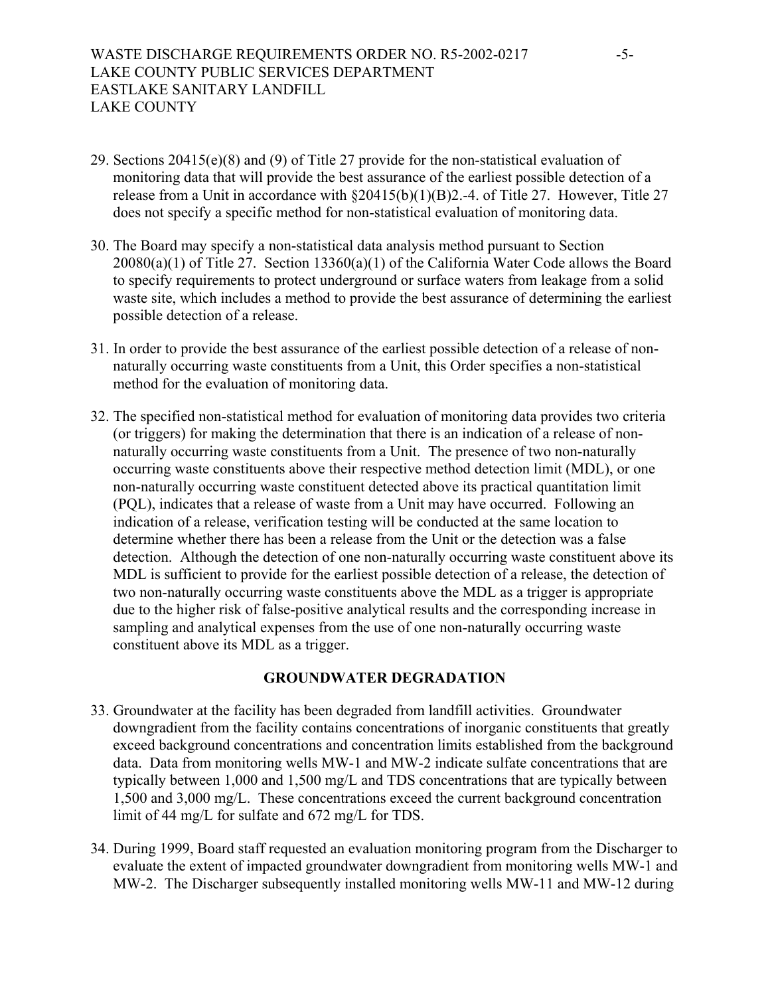- 29. Sections 20415(e)(8) and (9) of Title 27 provide for the non-statistical evaluation of monitoring data that will provide the best assurance of the earliest possible detection of a release from a Unit in accordance with §20415(b)(1)(B)2.-4. of Title 27. However, Title 27 does not specify a specific method for non-statistical evaluation of monitoring data.
- 30. The Board may specify a non-statistical data analysis method pursuant to Section 20080(a)(1) of Title 27. Section 13360(a)(1) of the California Water Code allows the Board to specify requirements to protect underground or surface waters from leakage from a solid waste site, which includes a method to provide the best assurance of determining the earliest possible detection of a release.
- 31. In order to provide the best assurance of the earliest possible detection of a release of nonnaturally occurring waste constituents from a Unit, this Order specifies a non-statistical method for the evaluation of monitoring data.
- 32. The specified non-statistical method for evaluation of monitoring data provides two criteria (or triggers) for making the determination that there is an indication of a release of nonnaturally occurring waste constituents from a Unit. The presence of two non-naturally occurring waste constituents above their respective method detection limit (MDL), or one non-naturally occurring waste constituent detected above its practical quantitation limit (PQL), indicates that a release of waste from a Unit may have occurred. Following an indication of a release, verification testing will be conducted at the same location to determine whether there has been a release from the Unit or the detection was a false detection. Although the detection of one non-naturally occurring waste constituent above its MDL is sufficient to provide for the earliest possible detection of a release, the detection of two non-naturally occurring waste constituents above the MDL as a trigger is appropriate due to the higher risk of false-positive analytical results and the corresponding increase in sampling and analytical expenses from the use of one non-naturally occurring waste constituent above its MDL as a trigger.

## **GROUNDWATER DEGRADATION**

- 33. Groundwater at the facility has been degraded from landfill activities. Groundwater downgradient from the facility contains concentrations of inorganic constituents that greatly exceed background concentrations and concentration limits established from the background data. Data from monitoring wells MW-1 and MW-2 indicate sulfate concentrations that are typically between 1,000 and 1,500 mg/L and TDS concentrations that are typically between 1,500 and 3,000 mg/L. These concentrations exceed the current background concentration limit of 44 mg/L for sulfate and 672 mg/L for TDS.
- 34. During 1999, Board staff requested an evaluation monitoring program from the Discharger to evaluate the extent of impacted groundwater downgradient from monitoring wells MW-1 and MW-2. The Discharger subsequently installed monitoring wells MW-11 and MW-12 during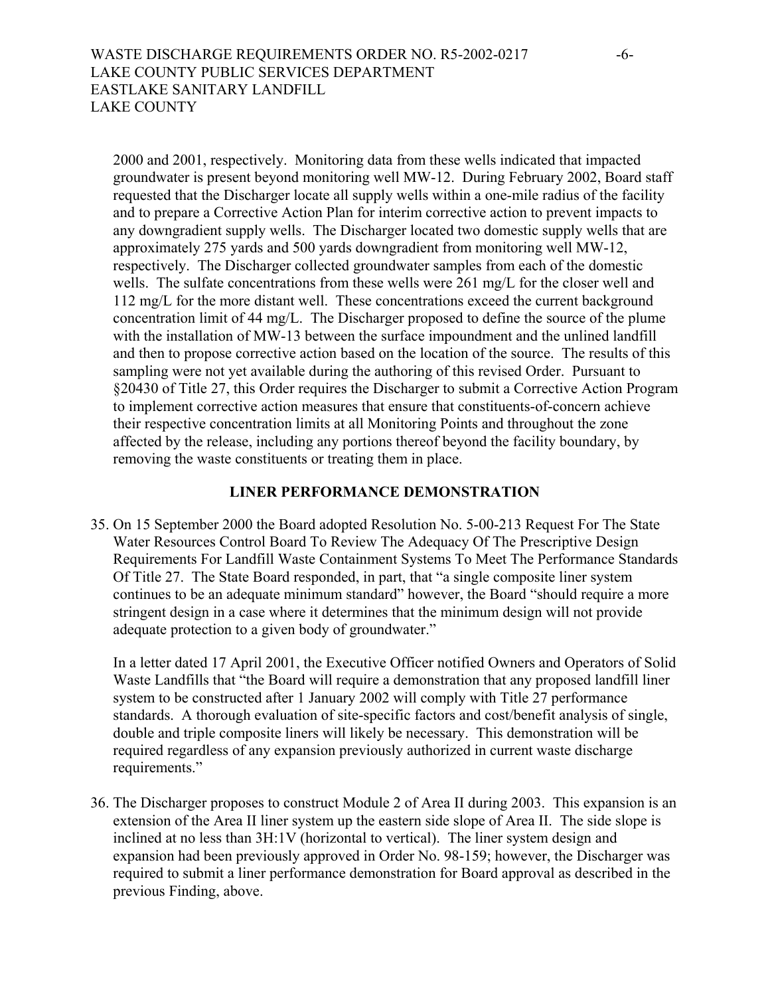2000 and 2001, respectively. Monitoring data from these wells indicated that impacted groundwater is present beyond monitoring well MW-12. During February 2002, Board staff requested that the Discharger locate all supply wells within a one-mile radius of the facility and to prepare a Corrective Action Plan for interim corrective action to prevent impacts to any downgradient supply wells. The Discharger located two domestic supply wells that are approximately 275 yards and 500 yards downgradient from monitoring well MW-12, respectively. The Discharger collected groundwater samples from each of the domestic wells. The sulfate concentrations from these wells were 261 mg/L for the closer well and 112 mg/L for the more distant well. These concentrations exceed the current background concentration limit of 44 mg/L. The Discharger proposed to define the source of the plume with the installation of MW-13 between the surface impoundment and the unlined landfill and then to propose corrective action based on the location of the source. The results of this sampling were not yet available during the authoring of this revised Order. Pursuant to §20430 of Title 27, this Order requires the Discharger to submit a Corrective Action Program to implement corrective action measures that ensure that constituents-of-concern achieve their respective concentration limits at all Monitoring Points and throughout the zone affected by the release, including any portions thereof beyond the facility boundary, by removing the waste constituents or treating them in place.

#### **LINER PERFORMANCE DEMONSTRATION**

35. On 15 September 2000 the Board adopted Resolution No. 5-00-213 Request For The State Water Resources Control Board To Review The Adequacy Of The Prescriptive Design Requirements For Landfill Waste Containment Systems To Meet The Performance Standards Of Title 27. The State Board responded, in part, that "a single composite liner system continues to be an adequate minimum standard" however, the Board "should require a more stringent design in a case where it determines that the minimum design will not provide adequate protection to a given body of groundwater."

In a letter dated 17 April 2001, the Executive Officer notified Owners and Operators of Solid Waste Landfills that "the Board will require a demonstration that any proposed landfill liner system to be constructed after 1 January 2002 will comply with Title 27 performance standards. A thorough evaluation of site-specific factors and cost/benefit analysis of single, double and triple composite liners will likely be necessary. This demonstration will be required regardless of any expansion previously authorized in current waste discharge requirements."

36. The Discharger proposes to construct Module 2 of Area II during 2003. This expansion is an extension of the Area II liner system up the eastern side slope of Area II. The side slope is inclined at no less than 3H:1V (horizontal to vertical). The liner system design and expansion had been previously approved in Order No. 98-159; however, the Discharger was required to submit a liner performance demonstration for Board approval as described in the previous Finding, above.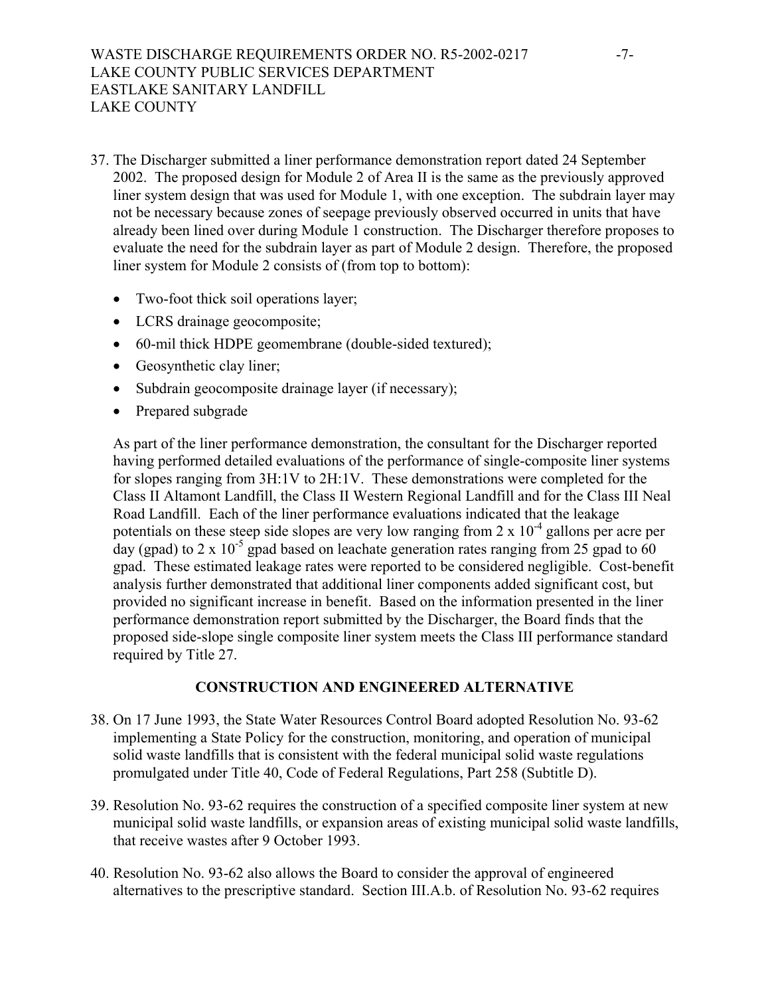- 37. The Discharger submitted a liner performance demonstration report dated 24 September 2002. The proposed design for Module 2 of Area II is the same as the previously approved liner system design that was used for Module 1, with one exception. The subdrain layer may not be necessary because zones of seepage previously observed occurred in units that have already been lined over during Module 1 construction. The Discharger therefore proposes to evaluate the need for the subdrain layer as part of Module 2 design. Therefore, the proposed liner system for Module 2 consists of (from top to bottom):
	- Two-foot thick soil operations layer;
	- LCRS drainage geocomposite;
	- 60-mil thick HDPE geomembrane (double-sided textured);
	- Geosynthetic clay liner;
	- Subdrain geocomposite drainage layer (if necessary);
	- Prepared subgrade

As part of the liner performance demonstration, the consultant for the Discharger reported having performed detailed evaluations of the performance of single-composite liner systems for slopes ranging from 3H:1V to 2H:1V. These demonstrations were completed for the Class II Altamont Landfill, the Class II Western Regional Landfill and for the Class III Neal Road Landfill. Each of the liner performance evaluations indicated that the leakage potentials on these steep side slopes are very low ranging from  $2 \times 10^{-4}$  gallons per acre per day (gpad) to 2 x 10<sup>-5</sup> gpad based on leachate generation rates ranging from 25 gpad to 60 gpad. These estimated leakage rates were reported to be considered negligible. Cost-benefit analysis further demonstrated that additional liner components added significant cost, but provided no significant increase in benefit. Based on the information presented in the liner performance demonstration report submitted by the Discharger, the Board finds that the proposed side-slope single composite liner system meets the Class III performance standard required by Title 27.

## **CONSTRUCTION AND ENGINEERED ALTERNATIVE**

- 38. On 17 June 1993, the State Water Resources Control Board adopted Resolution No. 93-62 implementing a State Policy for the construction, monitoring, and operation of municipal solid waste landfills that is consistent with the federal municipal solid waste regulations promulgated under Title 40, Code of Federal Regulations, Part 258 (Subtitle D).
- 39. Resolution No. 93-62 requires the construction of a specified composite liner system at new municipal solid waste landfills, or expansion areas of existing municipal solid waste landfills, that receive wastes after 9 October 1993.
- 40. Resolution No. 93-62 also allows the Board to consider the approval of engineered alternatives to the prescriptive standard. Section III.A.b. of Resolution No. 93-62 requires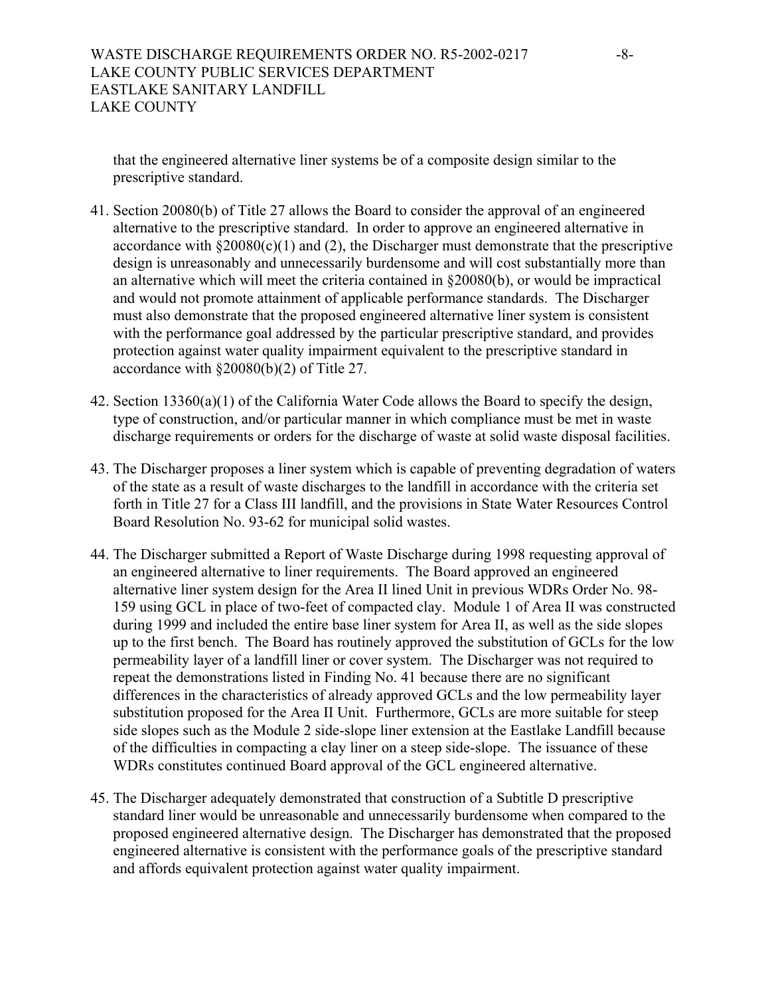that the engineered alternative liner systems be of a composite design similar to the prescriptive standard.

- 41. Section 20080(b) of Title 27 allows the Board to consider the approval of an engineered alternative to the prescriptive standard. In order to approve an engineered alternative in accordance with  $\S 20080(c)(1)$  and (2), the Discharger must demonstrate that the prescriptive design is unreasonably and unnecessarily burdensome and will cost substantially more than an alternative which will meet the criteria contained in §20080(b), or would be impractical and would not promote attainment of applicable performance standards. The Discharger must also demonstrate that the proposed engineered alternative liner system is consistent with the performance goal addressed by the particular prescriptive standard, and provides protection against water quality impairment equivalent to the prescriptive standard in accordance with §20080(b)(2) of Title 27.
- 42. Section 13360(a)(1) of the California Water Code allows the Board to specify the design, type of construction, and/or particular manner in which compliance must be met in waste discharge requirements or orders for the discharge of waste at solid waste disposal facilities.
- 43. The Discharger proposes a liner system which is capable of preventing degradation of waters of the state as a result of waste discharges to the landfill in accordance with the criteria set forth in Title 27 for a Class III landfill, and the provisions in State Water Resources Control Board Resolution No. 93-62 for municipal solid wastes.
- 44. The Discharger submitted a Report of Waste Discharge during 1998 requesting approval of an engineered alternative to liner requirements. The Board approved an engineered alternative liner system design for the Area II lined Unit in previous WDRs Order No. 98- 159 using GCL in place of two-feet of compacted clay. Module 1 of Area II was constructed during 1999 and included the entire base liner system for Area II, as well as the side slopes up to the first bench. The Board has routinely approved the substitution of GCLs for the low permeability layer of a landfill liner or cover system. The Discharger was not required to repeat the demonstrations listed in Finding No. 41 because there are no significant differences in the characteristics of already approved GCLs and the low permeability layer substitution proposed for the Area II Unit. Furthermore, GCLs are more suitable for steep side slopes such as the Module 2 side-slope liner extension at the Eastlake Landfill because of the difficulties in compacting a clay liner on a steep side-slope. The issuance of these WDRs constitutes continued Board approval of the GCL engineered alternative.
- 45. The Discharger adequately demonstrated that construction of a Subtitle D prescriptive standard liner would be unreasonable and unnecessarily burdensome when compared to the proposed engineered alternative design. The Discharger has demonstrated that the proposed engineered alternative is consistent with the performance goals of the prescriptive standard and affords equivalent protection against water quality impairment.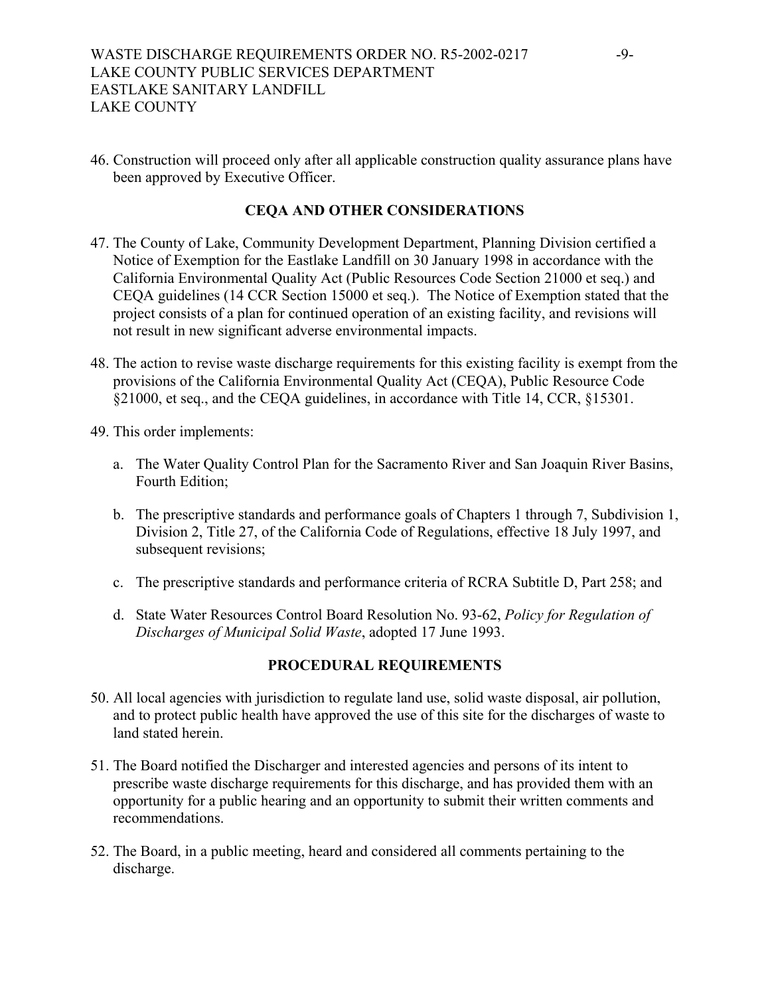46. Construction will proceed only after all applicable construction quality assurance plans have been approved by Executive Officer.

# **CEQA AND OTHER CONSIDERATIONS**

- 47. The County of Lake, Community Development Department, Planning Division certified a Notice of Exemption for the Eastlake Landfill on 30 January 1998 in accordance with the California Environmental Quality Act (Public Resources Code Section 21000 et seq.) and CEQA guidelines (14 CCR Section 15000 et seq.). The Notice of Exemption stated that the project consists of a plan for continued operation of an existing facility, and revisions will not result in new significant adverse environmental impacts.
- 48. The action to revise waste discharge requirements for this existing facility is exempt from the provisions of the California Environmental Quality Act (CEQA), Public Resource Code §21000, et seq., and the CEQA guidelines, in accordance with Title 14, CCR, §15301.
- 49. This order implements:
	- a. The Water Quality Control Plan for the Sacramento River and San Joaquin River Basins, Fourth Edition;
	- b. The prescriptive standards and performance goals of Chapters 1 through 7, Subdivision 1, Division 2, Title 27, of the California Code of Regulations, effective 18 July 1997, and subsequent revisions;
	- c. The prescriptive standards and performance criteria of RCRA Subtitle D, Part 258; and
	- d. State Water Resources Control Board Resolution No. 93-62, *Policy for Regulation of Discharges of Municipal Solid Waste*, adopted 17 June 1993.

## **PROCEDURAL REQUIREMENTS**

- 50. All local agencies with jurisdiction to regulate land use, solid waste disposal, air pollution, and to protect public health have approved the use of this site for the discharges of waste to land stated herein.
- 51. The Board notified the Discharger and interested agencies and persons of its intent to prescribe waste discharge requirements for this discharge, and has provided them with an opportunity for a public hearing and an opportunity to submit their written comments and recommendations.
- 52. The Board, in a public meeting, heard and considered all comments pertaining to the discharge.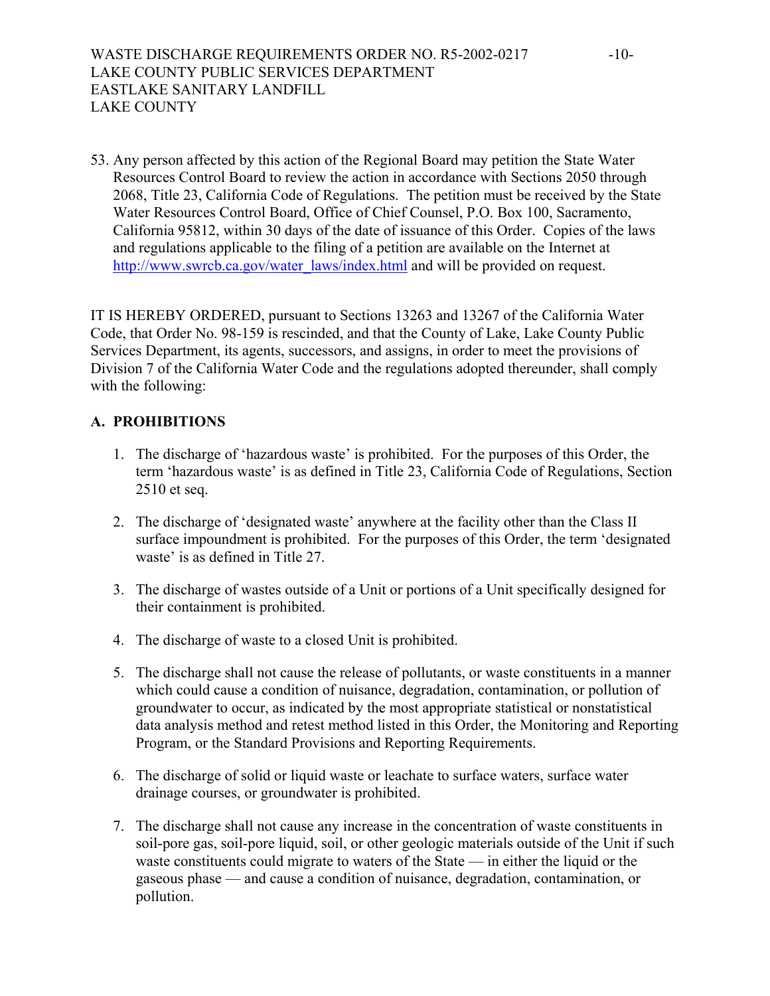53. Any person affected by this action of the Regional Board may petition the State Water Resources Control Board to review the action in accordance with Sections 2050 through 2068, Title 23, California Code of Regulations. The petition must be received by the State Water Resources Control Board, Office of Chief Counsel, P.O. Box 100, Sacramento, California 95812, within 30 days of the date of issuance of this Order. Copies of the laws and regulations applicable to the filing of a petition are available on the Internet at [http://www.swrcb.ca.gov/water\\_laws/index.html](http://www.swrcb.ca.gov/water_laws/index.html) and will be provided on request.

IT IS HEREBY ORDERED, pursuant to Sections 13263 and 13267 of the California Water Code, that Order No. 98-159 is rescinded, and that the County of Lake, Lake County Public Services Department, its agents, successors, and assigns, in order to meet the provisions of Division 7 of the California Water Code and the regulations adopted thereunder, shall comply with the following:

# **A. PROHIBITIONS**

- 1. The discharge of 'hazardous waste' is prohibited. For the purposes of this Order, the term 'hazardous waste' is as defined in Title 23, California Code of Regulations, Section 2510 et seq.
- 2. The discharge of 'designated waste' anywhere at the facility other than the Class II surface impoundment is prohibited. For the purposes of this Order, the term 'designated waste' is as defined in Title 27.
- 3. The discharge of wastes outside of a Unit or portions of a Unit specifically designed for their containment is prohibited.
- 4. The discharge of waste to a closed Unit is prohibited.
- 5. The discharge shall not cause the release of pollutants, or waste constituents in a manner which could cause a condition of nuisance, degradation, contamination, or pollution of groundwater to occur, as indicated by the most appropriate statistical or nonstatistical data analysis method and retest method listed in this Order, the Monitoring and Reporting Program, or the Standard Provisions and Reporting Requirements.
- 6. The discharge of solid or liquid waste or leachate to surface waters, surface water drainage courses, or groundwater is prohibited.
- 7. The discharge shall not cause any increase in the concentration of waste constituents in soil-pore gas, soil-pore liquid, soil, or other geologic materials outside of the Unit if such waste constituents could migrate to waters of the State — in either the liquid or the gaseous phase — and cause a condition of nuisance, degradation, contamination, or pollution.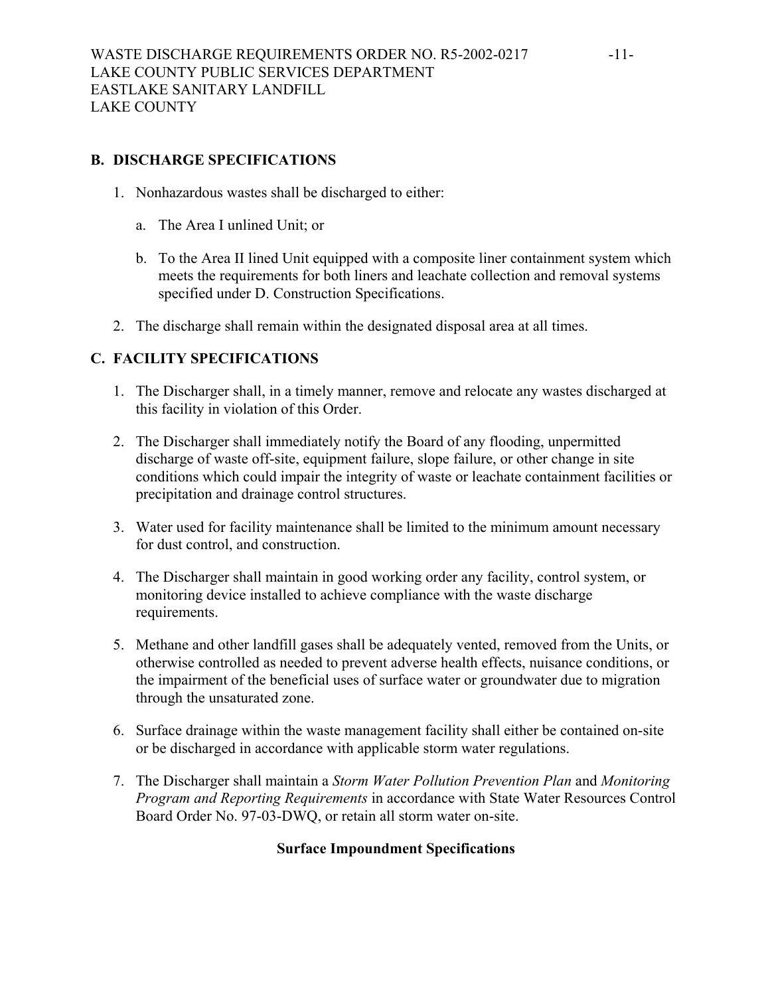# **B. DISCHARGE SPECIFICATIONS**

- 1. Nonhazardous wastes shall be discharged to either:
	- a. The Area I unlined Unit; or
	- b. To the Area II lined Unit equipped with a composite liner containment system which meets the requirements for both liners and leachate collection and removal systems specified under D. Construction Specifications.
- 2. The discharge shall remain within the designated disposal area at all times.

# **C. FACILITY SPECIFICATIONS**

- 1. The Discharger shall, in a timely manner, remove and relocate any wastes discharged at this facility in violation of this Order.
- 2. The Discharger shall immediately notify the Board of any flooding, unpermitted discharge of waste off-site, equipment failure, slope failure, or other change in site conditions which could impair the integrity of waste or leachate containment facilities or precipitation and drainage control structures.
- 3. Water used for facility maintenance shall be limited to the minimum amount necessary for dust control, and construction.
- 4. The Discharger shall maintain in good working order any facility, control system, or monitoring device installed to achieve compliance with the waste discharge requirements.
- 5. Methane and other landfill gases shall be adequately vented, removed from the Units, or otherwise controlled as needed to prevent adverse health effects, nuisance conditions, or the impairment of the beneficial uses of surface water or groundwater due to migration through the unsaturated zone.
- 6. Surface drainage within the waste management facility shall either be contained on-site or be discharged in accordance with applicable storm water regulations.
- 7. The Discharger shall maintain a *Storm Water Pollution Prevention Plan* and *Monitoring Program and Reporting Requirements* in accordance with State Water Resources Control Board Order No. 97-03-DWQ, or retain all storm water on-site.

# **Surface Impoundment Specifications**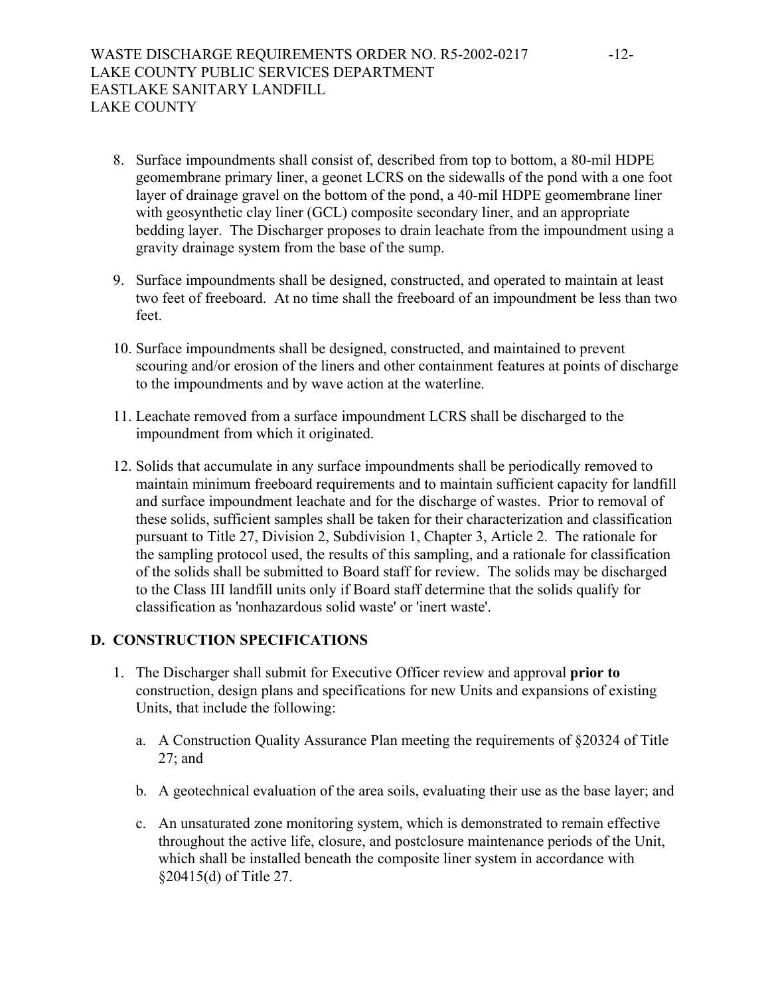- 8. Surface impoundments shall consist of, described from top to bottom, a 80-mil HDPE geomembrane primary liner, a geonet LCRS on the sidewalls of the pond with a one foot layer of drainage gravel on the bottom of the pond, a 40-mil HDPE geomembrane liner with geosynthetic clay liner (GCL) composite secondary liner, and an appropriate bedding layer. The Discharger proposes to drain leachate from the impoundment using a gravity drainage system from the base of the sump.
- 9. Surface impoundments shall be designed, constructed, and operated to maintain at least two feet of freeboard. At no time shall the freeboard of an impoundment be less than two feet.
- 10. Surface impoundments shall be designed, constructed, and maintained to prevent scouring and/or erosion of the liners and other containment features at points of discharge to the impoundments and by wave action at the waterline.
- 11. Leachate removed from a surface impoundment LCRS shall be discharged to the impoundment from which it originated.
- 12. Solids that accumulate in any surface impoundments shall be periodically removed to maintain minimum freeboard requirements and to maintain sufficient capacity for landfill and surface impoundment leachate and for the discharge of wastes. Prior to removal of these solids, sufficient samples shall be taken for their characterization and classification pursuant to Title 27, Division 2, Subdivision 1, Chapter 3, Article 2. The rationale for the sampling protocol used, the results of this sampling, and a rationale for classification of the solids shall be submitted to Board staff for review. The solids may be discharged to the Class III landfill units only if Board staff determine that the solids qualify for classification as 'nonhazardous solid waste' or 'inert waste'.

# **D. CONSTRUCTION SPECIFICATIONS**

- 1. The Discharger shall submit for Executive Officer review and approval **prior to** construction, design plans and specifications for new Units and expansions of existing Units, that include the following:
	- a. A Construction Quality Assurance Plan meeting the requirements of §20324 of Title 27; and
	- b. A geotechnical evaluation of the area soils, evaluating their use as the base layer; and
	- c. An unsaturated zone monitoring system, which is demonstrated to remain effective throughout the active life, closure, and postclosure maintenance periods of the Unit, which shall be installed beneath the composite liner system in accordance with §20415(d) of Title 27.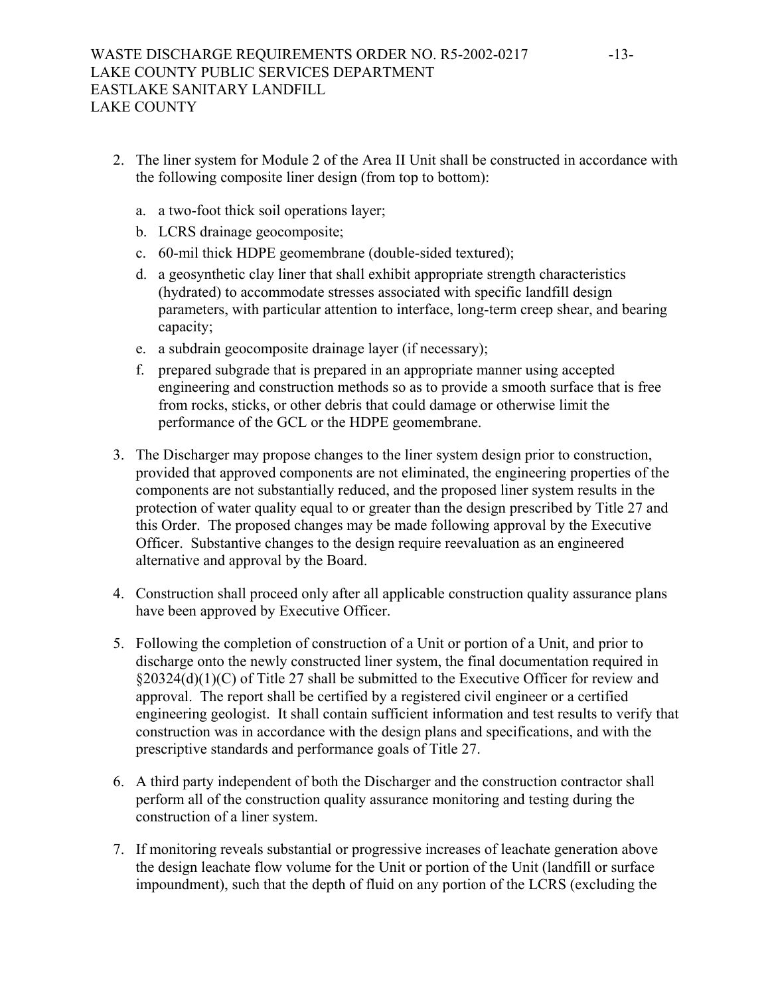- 2. The liner system for Module 2 of the Area II Unit shall be constructed in accordance with the following composite liner design (from top to bottom):
	- a. a two-foot thick soil operations layer;
	- b. LCRS drainage geocomposite;
	- c. 60-mil thick HDPE geomembrane (double-sided textured);
	- d. a geosynthetic clay liner that shall exhibit appropriate strength characteristics (hydrated) to accommodate stresses associated with specific landfill design parameters, with particular attention to interface, long-term creep shear, and bearing capacity;
	- e. a subdrain geocomposite drainage layer (if necessary);
	- f. prepared subgrade that is prepared in an appropriate manner using accepted engineering and construction methods so as to provide a smooth surface that is free from rocks, sticks, or other debris that could damage or otherwise limit the performance of the GCL or the HDPE geomembrane.
- 3. The Discharger may propose changes to the liner system design prior to construction, provided that approved components are not eliminated, the engineering properties of the components are not substantially reduced, and the proposed liner system results in the protection of water quality equal to or greater than the design prescribed by Title 27 and this Order. The proposed changes may be made following approval by the Executive Officer. Substantive changes to the design require reevaluation as an engineered alternative and approval by the Board.
- 4. Construction shall proceed only after all applicable construction quality assurance plans have been approved by Executive Officer.
- 5. Following the completion of construction of a Unit or portion of a Unit, and prior to discharge onto the newly constructed liner system, the final documentation required in §20324(d)(1)(C) of Title 27 shall be submitted to the Executive Officer for review and approval. The report shall be certified by a registered civil engineer or a certified engineering geologist. It shall contain sufficient information and test results to verify that construction was in accordance with the design plans and specifications, and with the prescriptive standards and performance goals of Title 27.
- 6. A third party independent of both the Discharger and the construction contractor shall perform all of the construction quality assurance monitoring and testing during the construction of a liner system.
- 7. If monitoring reveals substantial or progressive increases of leachate generation above the design leachate flow volume for the Unit or portion of the Unit (landfill or surface impoundment), such that the depth of fluid on any portion of the LCRS (excluding the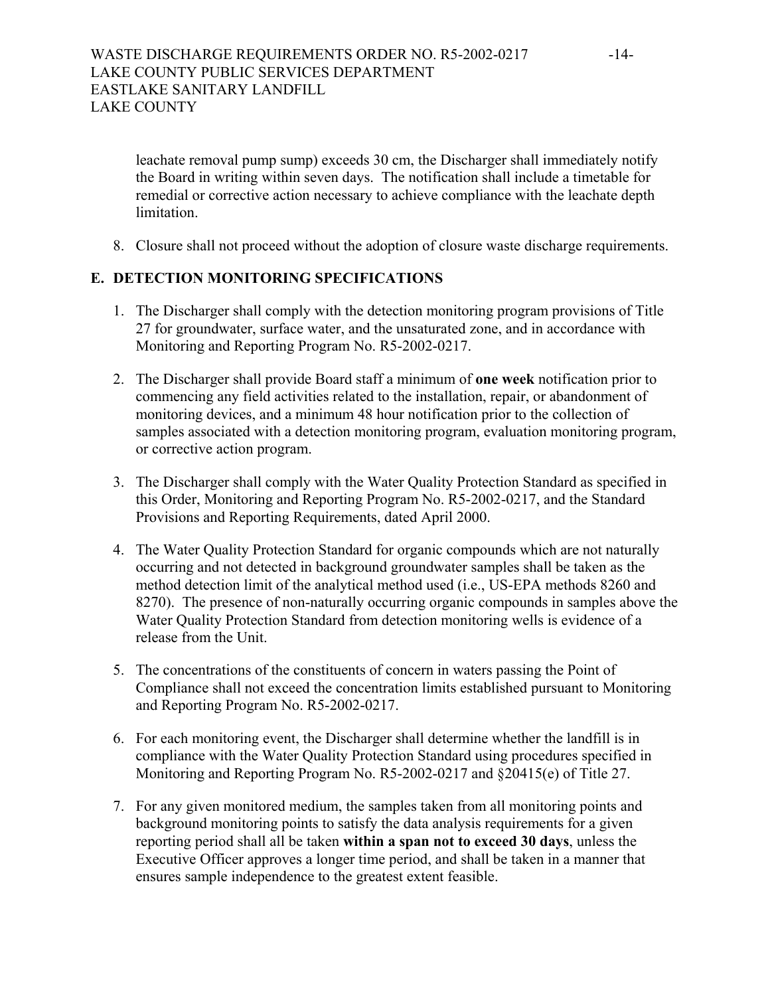leachate removal pump sump) exceeds 30 cm, the Discharger shall immediately notify the Board in writing within seven days. The notification shall include a timetable for remedial or corrective action necessary to achieve compliance with the leachate depth limitation.

8. Closure shall not proceed without the adoption of closure waste discharge requirements.

# **E. DETECTION MONITORING SPECIFICATIONS**

- 1. The Discharger shall comply with the detection monitoring program provisions of Title 27 for groundwater, surface water, and the unsaturated zone, and in accordance with Monitoring and Reporting Program No. R5-2002-0217.
- 2. The Discharger shall provide Board staff a minimum of **one week** notification prior to commencing any field activities related to the installation, repair, or abandonment of monitoring devices, and a minimum 48 hour notification prior to the collection of samples associated with a detection monitoring program, evaluation monitoring program, or corrective action program.
- 3. The Discharger shall comply with the Water Quality Protection Standard as specified in this Order, Monitoring and Reporting Program No. R5-2002-0217, and the Standard Provisions and Reporting Requirements, dated April 2000.
- 4. The Water Quality Protection Standard for organic compounds which are not naturally occurring and not detected in background groundwater samples shall be taken as the method detection limit of the analytical method used (i.e., US-EPA methods 8260 and 8270). The presence of non-naturally occurring organic compounds in samples above the Water Quality Protection Standard from detection monitoring wells is evidence of a release from the Unit.
- 5. The concentrations of the constituents of concern in waters passing the Point of Compliance shall not exceed the concentration limits established pursuant to Monitoring and Reporting Program No. R5-2002-0217.
- 6. For each monitoring event, the Discharger shall determine whether the landfill is in compliance with the Water Quality Protection Standard using procedures specified in Monitoring and Reporting Program No. R5-2002-0217 and §20415(e) of Title 27.
- 7. For any given monitored medium, the samples taken from all monitoring points and background monitoring points to satisfy the data analysis requirements for a given reporting period shall all be taken **within a span not to exceed 30 days**, unless the Executive Officer approves a longer time period, and shall be taken in a manner that ensures sample independence to the greatest extent feasible.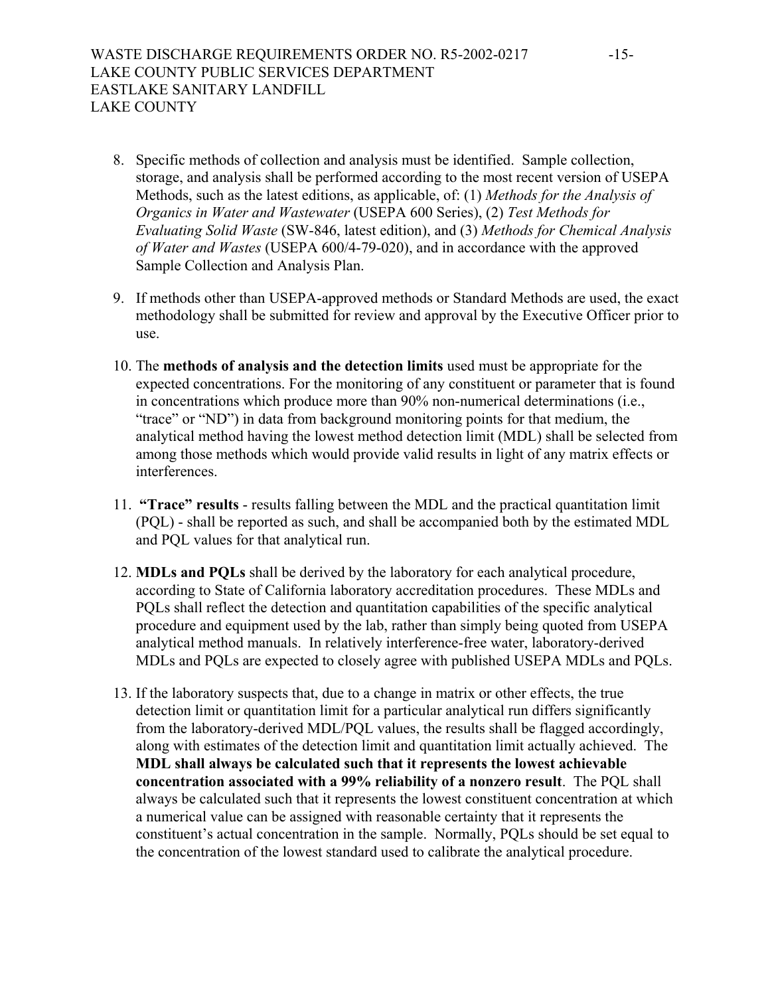- 8. Specific methods of collection and analysis must be identified. Sample collection, storage, and analysis shall be performed according to the most recent version of USEPA Methods, such as the latest editions, as applicable, of: (1) *Methods for the Analysis of Organics in Water and Wastewater* (USEPA 600 Series), (2) *Test Methods for Evaluating Solid Waste* (SW-846, latest edition), and (3) *Methods for Chemical Analysis of Water and Wastes* (USEPA 600/4-79-020), and in accordance with the approved Sample Collection and Analysis Plan.
- 9. If methods other than USEPA-approved methods or Standard Methods are used, the exact methodology shall be submitted for review and approval by the Executive Officer prior to use.
- 10. The **methods of analysis and the detection limits** used must be appropriate for the expected concentrations. For the monitoring of any constituent or parameter that is found in concentrations which produce more than 90% non-numerical determinations (i.e., "trace" or "ND") in data from background monitoring points for that medium, the analytical method having the lowest method detection limit (MDL) shall be selected from among those methods which would provide valid results in light of any matrix effects or interferences.
- 11. **"Trace" results** results falling between the MDL and the practical quantitation limit (PQL) - shall be reported as such, and shall be accompanied both by the estimated MDL and PQL values for that analytical run.
- 12. **MDLs and PQLs** shall be derived by the laboratory for each analytical procedure, according to State of California laboratory accreditation procedures. These MDLs and PQLs shall reflect the detection and quantitation capabilities of the specific analytical procedure and equipment used by the lab, rather than simply being quoted from USEPA analytical method manuals. In relatively interference-free water, laboratory-derived MDLs and PQLs are expected to closely agree with published USEPA MDLs and PQLs.
- 13. If the laboratory suspects that, due to a change in matrix or other effects, the true detection limit or quantitation limit for a particular analytical run differs significantly from the laboratory-derived MDL/PQL values, the results shall be flagged accordingly, along with estimates of the detection limit and quantitation limit actually achieved. The **MDL shall always be calculated such that it represents the lowest achievable concentration associated with a 99% reliability of a nonzero result**. The PQL shall always be calculated such that it represents the lowest constituent concentration at which a numerical value can be assigned with reasonable certainty that it represents the constituent's actual concentration in the sample. Normally, PQLs should be set equal to the concentration of the lowest standard used to calibrate the analytical procedure.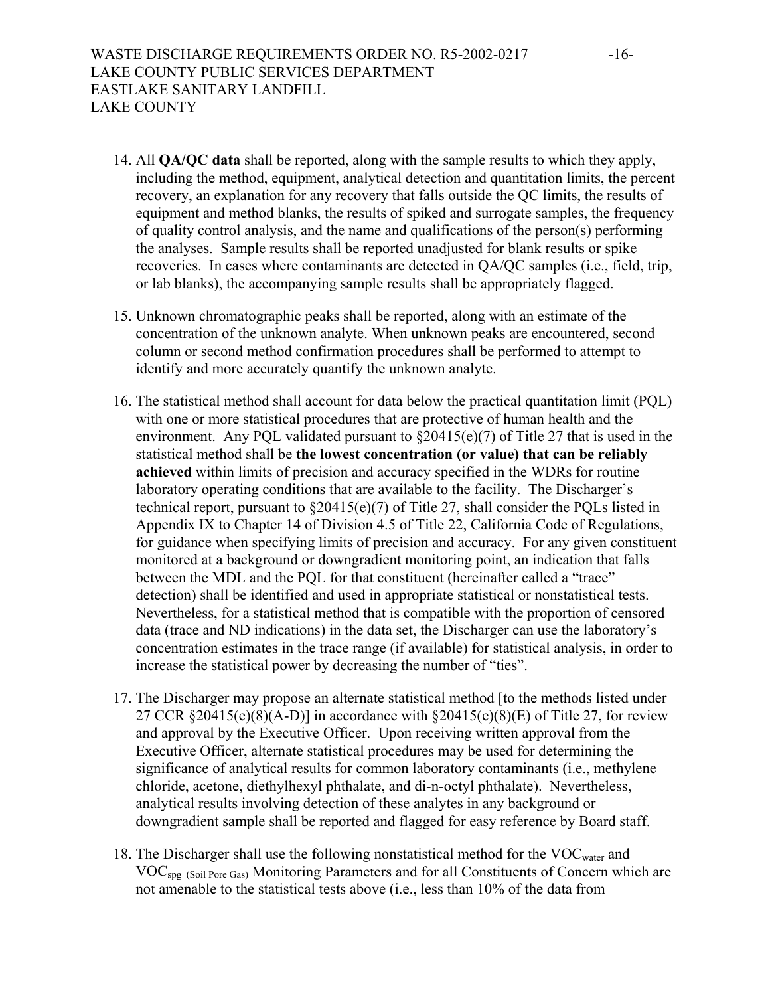- 14. All **QA/QC data** shall be reported, along with the sample results to which they apply, including the method, equipment, analytical detection and quantitation limits, the percent recovery, an explanation for any recovery that falls outside the QC limits, the results of equipment and method blanks, the results of spiked and surrogate samples, the frequency of quality control analysis, and the name and qualifications of the person(s) performing the analyses. Sample results shall be reported unadjusted for blank results or spike recoveries. In cases where contaminants are detected in QA/QC samples (i.e., field, trip, or lab blanks), the accompanying sample results shall be appropriately flagged.
- 15. Unknown chromatographic peaks shall be reported, along with an estimate of the concentration of the unknown analyte. When unknown peaks are encountered, second column or second method confirmation procedures shall be performed to attempt to identify and more accurately quantify the unknown analyte.
- 16. The statistical method shall account for data below the practical quantitation limit (PQL) with one or more statistical procedures that are protective of human health and the environment. Any PQL validated pursuant to  $\S20415(e)(7)$  of Title 27 that is used in the statistical method shall be **the lowest concentration (or value) that can be reliably achieved** within limits of precision and accuracy specified in the WDRs for routine laboratory operating conditions that are available to the facility. The Discharger's technical report, pursuant to §20415(e)(7) of Title 27, shall consider the PQLs listed in Appendix IX to Chapter 14 of Division 4.5 of Title 22, California Code of Regulations, for guidance when specifying limits of precision and accuracy. For any given constituent monitored at a background or downgradient monitoring point, an indication that falls between the MDL and the PQL for that constituent (hereinafter called a "trace" detection) shall be identified and used in appropriate statistical or nonstatistical tests. Nevertheless, for a statistical method that is compatible with the proportion of censored data (trace and ND indications) in the data set, the Discharger can use the laboratory's concentration estimates in the trace range (if available) for statistical analysis, in order to increase the statistical power by decreasing the number of "ties".
- 17. The Discharger may propose an alternate statistical method [to the methods listed under 27 CCR  $\S 20415(e)(8)(A-D)$ ] in accordance with  $\S 20415(e)(8)(E)$  of Title 27, for review and approval by the Executive Officer. Upon receiving written approval from the Executive Officer, alternate statistical procedures may be used for determining the significance of analytical results for common laboratory contaminants (i.e., methylene chloride, acetone, diethylhexyl phthalate, and di-n-octyl phthalate). Nevertheless, analytical results involving detection of these analytes in any background or downgradient sample shall be reported and flagged for easy reference by Board staff.
- 18. The Discharger shall use the following nonstatistical method for the VOC<sub>water</sub> and VOCspg (Soil Pore Gas) Monitoring Parameters and for all Constituents of Concern which are not amenable to the statistical tests above (i.e., less than 10% of the data from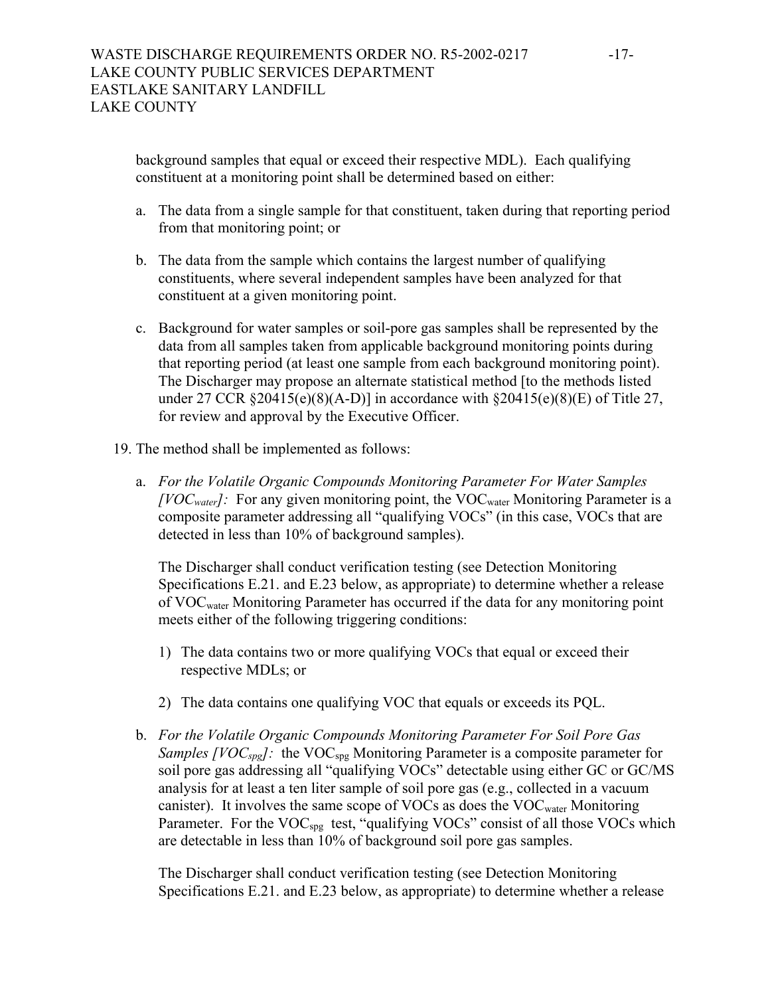background samples that equal or exceed their respective MDL). Each qualifying constituent at a monitoring point shall be determined based on either:

- a. The data from a single sample for that constituent, taken during that reporting period from that monitoring point; or
- b. The data from the sample which contains the largest number of qualifying constituents, where several independent samples have been analyzed for that constituent at a given monitoring point.
- c. Background for water samples or soil-pore gas samples shall be represented by the data from all samples taken from applicable background monitoring points during that reporting period (at least one sample from each background monitoring point). The Discharger may propose an alternate statistical method [to the methods listed under 27 CCR  $\S 20415(e)(8)(A-D)$ ] in accordance with  $\S 20415(e)(8)(E)$  of Title 27, for review and approval by the Executive Officer.
- 19. The method shall be implemented as follows:
	- a. *For the Volatile Organic Compounds Monitoring Parameter For Water Samples [VOC<sub>water</sub>]*: For any given monitoring point, the VOC<sub>water</sub> Monitoring Parameter is a composite parameter addressing all "qualifying VOCs" (in this case, VOCs that are detected in less than 10% of background samples).

The Discharger shall conduct verification testing (see Detection Monitoring Specifications E.21. and E.23 below, as appropriate) to determine whether a release of VOCwater Monitoring Parameter has occurred if the data for any monitoring point meets either of the following triggering conditions:

- 1) The data contains two or more qualifying VOCs that equal or exceed their respective MDLs; or
- 2) The data contains one qualifying VOC that equals or exceeds its PQL.
- b. *For the Volatile Organic Compounds Monitoring Parameter For Soil Pore Gas Samples [VOC<sub>spg</sub>]*: the VOC<sub>spg</sub> Monitoring Parameter is a composite parameter for soil pore gas addressing all "qualifying VOCs" detectable using either GC or GC/MS analysis for at least a ten liter sample of soil pore gas (e.g., collected in a vacuum canister). It involves the same scope of VOCs as does the  $VOC_{water}$  Monitoring Parameter. For the VOC<sub>spg</sub> test, "qualifying VOCs" consist of all those VOCs which are detectable in less than 10% of background soil pore gas samples.

The Discharger shall conduct verification testing (see Detection Monitoring Specifications E.21. and E.23 below, as appropriate) to determine whether a release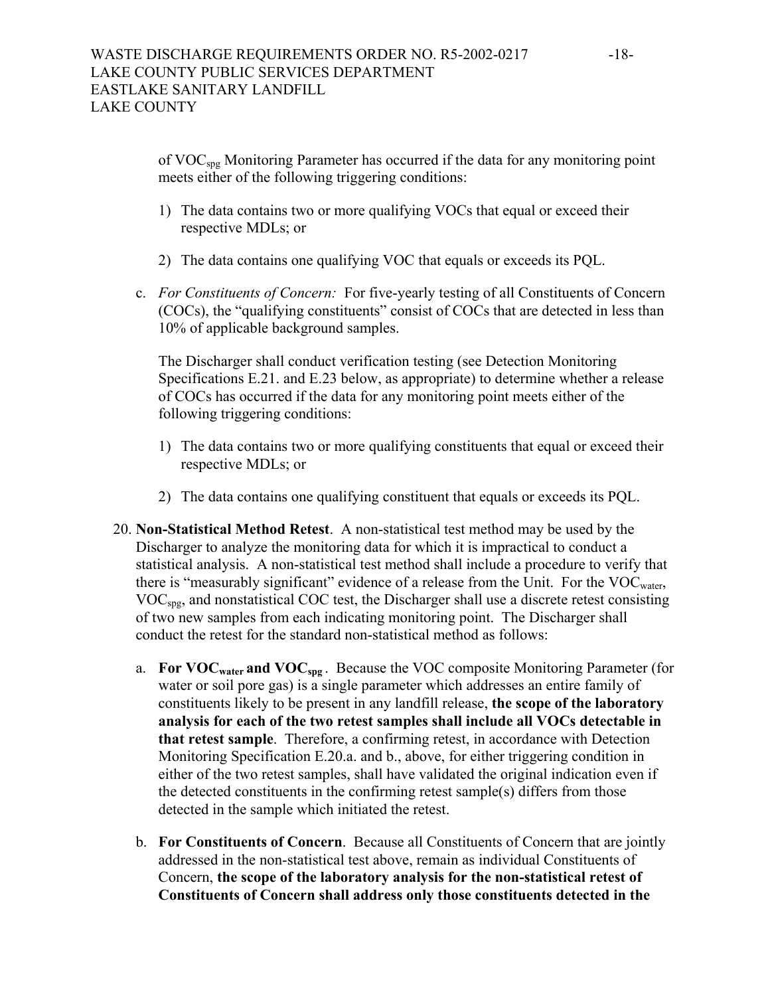of VOCspg Monitoring Parameter has occurred if the data for any monitoring point meets either of the following triggering conditions:

- 1) The data contains two or more qualifying VOCs that equal or exceed their respective MDLs; or
- 2) The data contains one qualifying VOC that equals or exceeds its PQL.
- c. *For Constituents of Concern:* For five-yearly testing of all Constituents of Concern (COCs), the "qualifying constituents" consist of COCs that are detected in less than 10% of applicable background samples.

The Discharger shall conduct verification testing (see Detection Monitoring Specifications E.21. and E.23 below, as appropriate) to determine whether a release of COCs has occurred if the data for any monitoring point meets either of the following triggering conditions:

- 1) The data contains two or more qualifying constituents that equal or exceed their respective MDLs; or
- 2) The data contains one qualifying constituent that equals or exceeds its PQL.
- 20. **Non-Statistical Method Retest**. A non-statistical test method may be used by the Discharger to analyze the monitoring data for which it is impractical to conduct a statistical analysis. A non-statistical test method shall include a procedure to verify that there is "measurably significant" evidence of a release from the Unit. For the  $VOC_{water}$ , VOCspg, and nonstatistical COC test, the Discharger shall use a discrete retest consisting of two new samples from each indicating monitoring point. The Discharger shall conduct the retest for the standard non-statistical method as follows:
	- a. **For VOCwater and VOCspg** . Because the VOC composite Monitoring Parameter (for water or soil pore gas) is a single parameter which addresses an entire family of constituents likely to be present in any landfill release, **the scope of the laboratory analysis for each of the two retest samples shall include all VOCs detectable in that retest sample**. Therefore, a confirming retest, in accordance with Detection Monitoring Specification E.20.a. and b., above, for either triggering condition in either of the two retest samples, shall have validated the original indication even if the detected constituents in the confirming retest sample(s) differs from those detected in the sample which initiated the retest.
	- b. **For Constituents of Concern**. Because all Constituents of Concern that are jointly addressed in the non-statistical test above, remain as individual Constituents of Concern, **the scope of the laboratory analysis for the non-statistical retest of Constituents of Concern shall address only those constituents detected in the**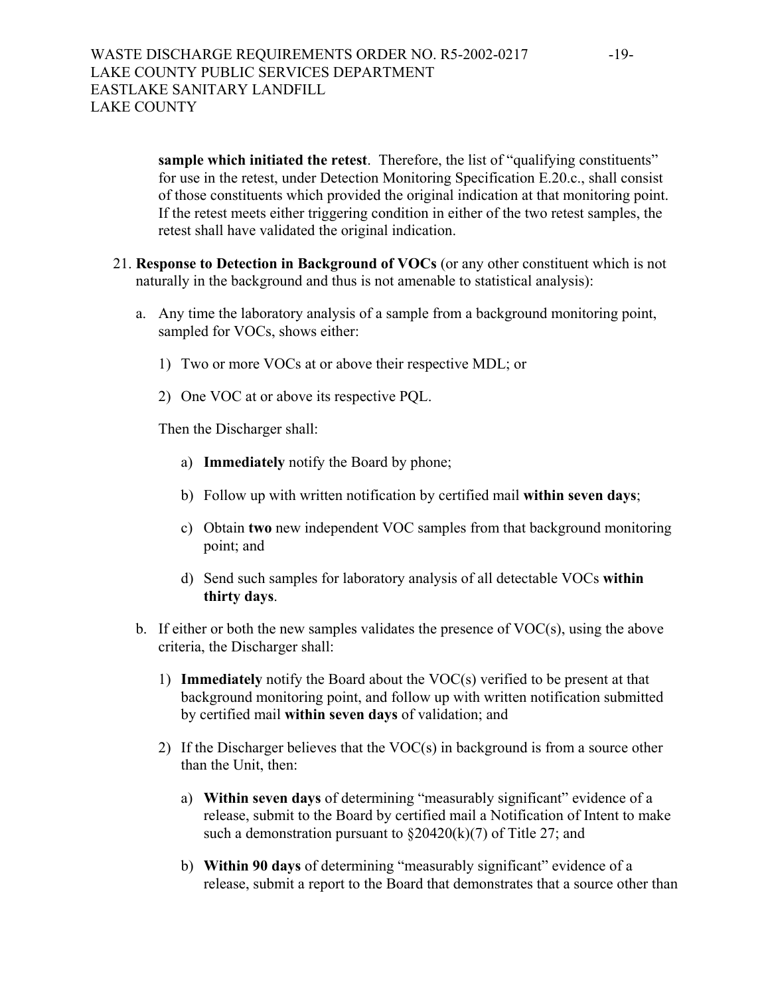**sample which initiated the retest**. Therefore, the list of "qualifying constituents" for use in the retest, under Detection Monitoring Specification E.20.c., shall consist of those constituents which provided the original indication at that monitoring point. If the retest meets either triggering condition in either of the two retest samples, the retest shall have validated the original indication.

- 21. **Response to Detection in Background of VOCs** (or any other constituent which is not naturally in the background and thus is not amenable to statistical analysis):
	- a. Any time the laboratory analysis of a sample from a background monitoring point, sampled for VOCs, shows either:
		- 1) Two or more VOCs at or above their respective MDL; or
		- 2) One VOC at or above its respective PQL.

Then the Discharger shall:

- a) **Immediately** notify the Board by phone;
- b) Follow up with written notification by certified mail **within seven days**;
- c) Obtain **two** new independent VOC samples from that background monitoring point; and
- d) Send such samples for laboratory analysis of all detectable VOCs **within thirty days**.
- b. If either or both the new samples validates the presence of VOC(s), using the above criteria, the Discharger shall:
	- 1) **Immediately** notify the Board about the VOC(s) verified to be present at that background monitoring point, and follow up with written notification submitted by certified mail **within seven days** of validation; and
	- 2) If the Discharger believes that the VOC(s) in background is from a source other than the Unit, then:
		- a) **Within seven days** of determining "measurably significant" evidence of a release, submit to the Board by certified mail a Notification of Intent to make such a demonstration pursuant to  $\S20420(k)(7)$  of Title 27; and
		- b) **Within 90 days** of determining "measurably significant" evidence of a release, submit a report to the Board that demonstrates that a source other than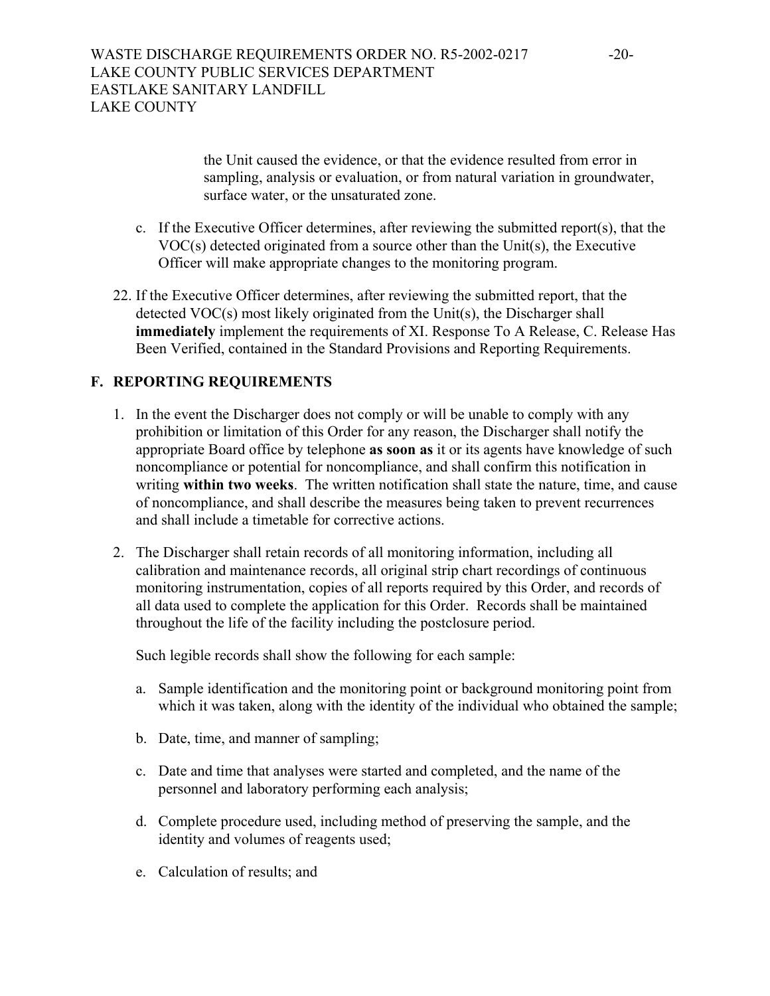the Unit caused the evidence, or that the evidence resulted from error in sampling, analysis or evaluation, or from natural variation in groundwater, surface water, or the unsaturated zone.

- c. If the Executive Officer determines, after reviewing the submitted report(s), that the VOC(s) detected originated from a source other than the Unit(s), the Executive Officer will make appropriate changes to the monitoring program.
- 22. If the Executive Officer determines, after reviewing the submitted report, that the detected VOC(s) most likely originated from the Unit(s), the Discharger shall **immediately** implement the requirements of XI. Response To A Release, C. Release Has Been Verified, contained in the Standard Provisions and Reporting Requirements.

# **F. REPORTING REQUIREMENTS**

- 1. In the event the Discharger does not comply or will be unable to comply with any prohibition or limitation of this Order for any reason, the Discharger shall notify the appropriate Board office by telephone **as soon as** it or its agents have knowledge of such noncompliance or potential for noncompliance, and shall confirm this notification in writing **within two weeks**. The written notification shall state the nature, time, and cause of noncompliance, and shall describe the measures being taken to prevent recurrences and shall include a timetable for corrective actions.
- 2. The Discharger shall retain records of all monitoring information, including all calibration and maintenance records, all original strip chart recordings of continuous monitoring instrumentation, copies of all reports required by this Order, and records of all data used to complete the application for this Order. Records shall be maintained throughout the life of the facility including the postclosure period.

Such legible records shall show the following for each sample:

- a. Sample identification and the monitoring point or background monitoring point from which it was taken, along with the identity of the individual who obtained the sample;
- b. Date, time, and manner of sampling;
- c. Date and time that analyses were started and completed, and the name of the personnel and laboratory performing each analysis;
- d. Complete procedure used, including method of preserving the sample, and the identity and volumes of reagents used;
- e. Calculation of results; and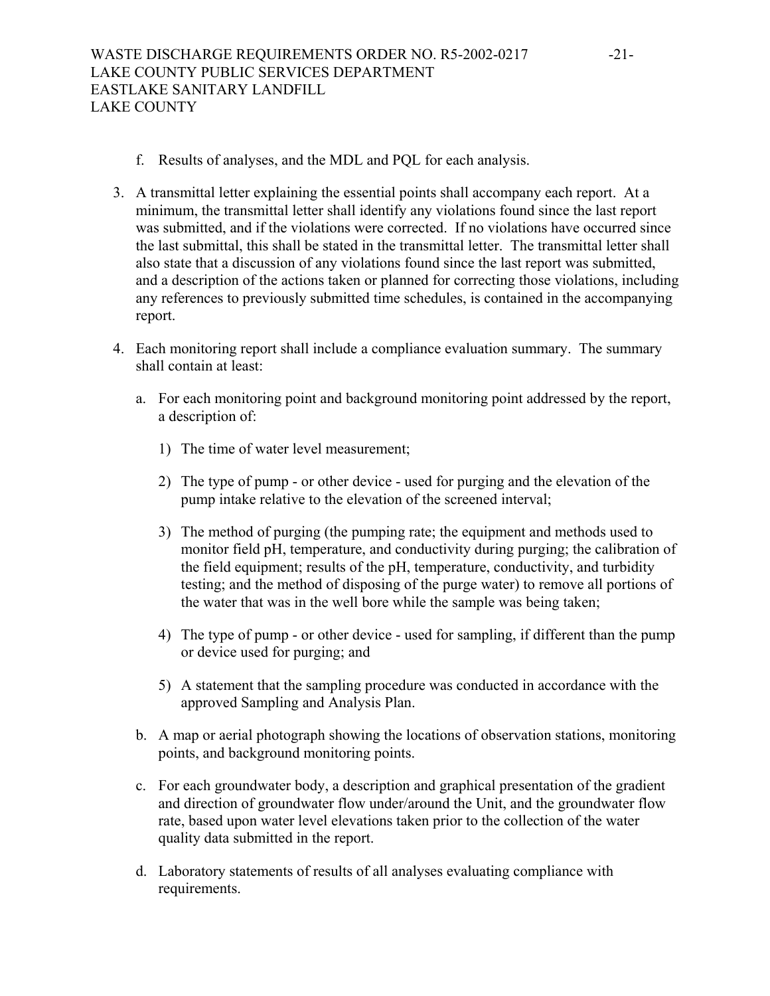- f. Results of analyses, and the MDL and PQL for each analysis.
- 3. A transmittal letter explaining the essential points shall accompany each report. At a minimum, the transmittal letter shall identify any violations found since the last report was submitted, and if the violations were corrected. If no violations have occurred since the last submittal, this shall be stated in the transmittal letter. The transmittal letter shall also state that a discussion of any violations found since the last report was submitted, and a description of the actions taken or planned for correcting those violations, including any references to previously submitted time schedules, is contained in the accompanying report.
- 4. Each monitoring report shall include a compliance evaluation summary. The summary shall contain at least:
	- a. For each monitoring point and background monitoring point addressed by the report, a description of:
		- 1) The time of water level measurement;
		- 2) The type of pump or other device used for purging and the elevation of the pump intake relative to the elevation of the screened interval;
		- 3) The method of purging (the pumping rate; the equipment and methods used to monitor field pH, temperature, and conductivity during purging; the calibration of the field equipment; results of the pH, temperature, conductivity, and turbidity testing; and the method of disposing of the purge water) to remove all portions of the water that was in the well bore while the sample was being taken;
		- 4) The type of pump or other device used for sampling, if different than the pump or device used for purging; and
		- 5) A statement that the sampling procedure was conducted in accordance with the approved Sampling and Analysis Plan.
	- b. A map or aerial photograph showing the locations of observation stations, monitoring points, and background monitoring points.
	- c. For each groundwater body, a description and graphical presentation of the gradient and direction of groundwater flow under/around the Unit, and the groundwater flow rate, based upon water level elevations taken prior to the collection of the water quality data submitted in the report.
	- d. Laboratory statements of results of all analyses evaluating compliance with requirements.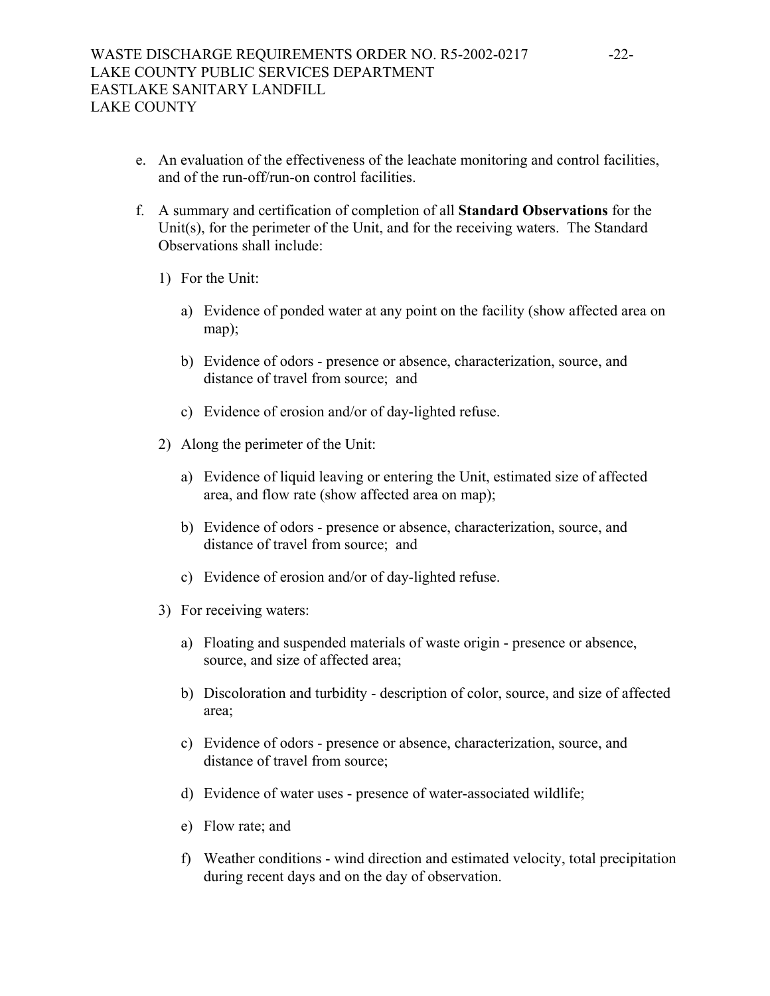- e. An evaluation of the effectiveness of the leachate monitoring and control facilities, and of the run-off/run-on control facilities.
- f. A summary and certification of completion of all **Standard Observations** for the Unit(s), for the perimeter of the Unit, and for the receiving waters. The Standard Observations shall include:
	- 1) For the Unit:
		- a) Evidence of ponded water at any point on the facility (show affected area on map);
		- b) Evidence of odors presence or absence, characterization, source, and distance of travel from source; and
		- c) Evidence of erosion and/or of day-lighted refuse.
	- 2) Along the perimeter of the Unit:
		- a) Evidence of liquid leaving or entering the Unit, estimated size of affected area, and flow rate (show affected area on map);
		- b) Evidence of odors presence or absence, characterization, source, and distance of travel from source; and
		- c) Evidence of erosion and/or of day-lighted refuse.
	- 3) For receiving waters:
		- a) Floating and suspended materials of waste origin presence or absence, source, and size of affected area;
		- b) Discoloration and turbidity description of color, source, and size of affected area;
		- c) Evidence of odors presence or absence, characterization, source, and distance of travel from source;
		- d) Evidence of water uses presence of water-associated wildlife;
		- e) Flow rate; and
		- f) Weather conditions wind direction and estimated velocity, total precipitation during recent days and on the day of observation.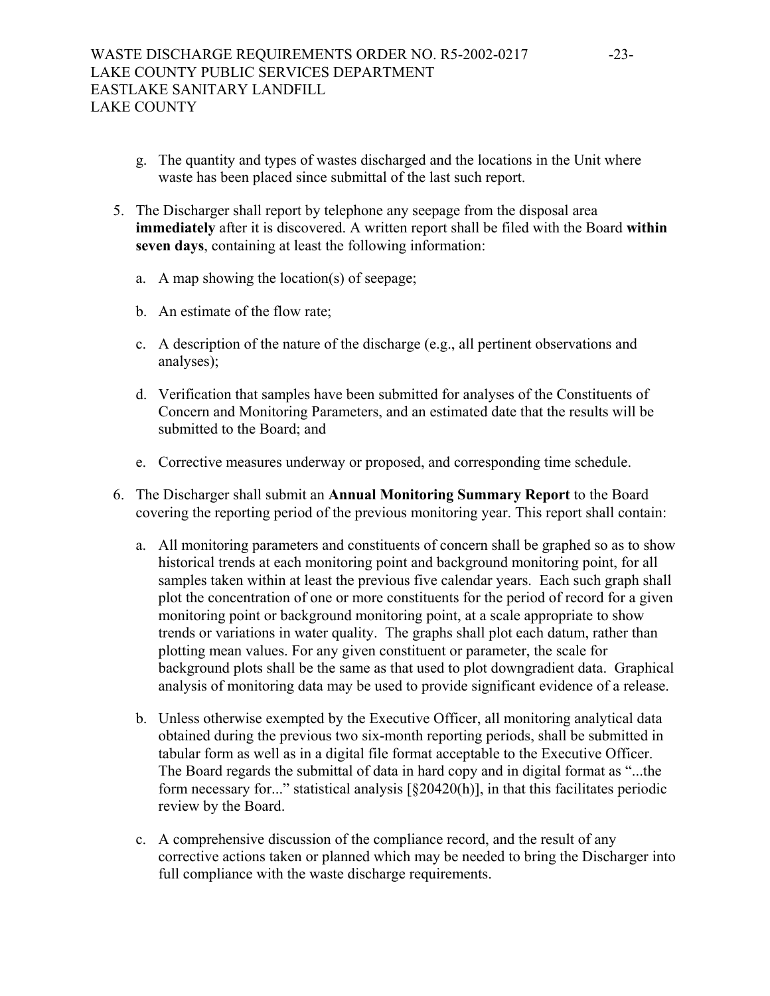- g. The quantity and types of wastes discharged and the locations in the Unit where waste has been placed since submittal of the last such report.
- 5. The Discharger shall report by telephone any seepage from the disposal area **immediately** after it is discovered. A written report shall be filed with the Board **within seven days**, containing at least the following information:
	- a. A map showing the location(s) of seepage;
	- b. An estimate of the flow rate;
	- c. A description of the nature of the discharge (e.g., all pertinent observations and analyses);
	- d. Verification that samples have been submitted for analyses of the Constituents of Concern and Monitoring Parameters, and an estimated date that the results will be submitted to the Board; and
	- e. Corrective measures underway or proposed, and corresponding time schedule.
- 6. The Discharger shall submit an **Annual Monitoring Summary Report** to the Board covering the reporting period of the previous monitoring year. This report shall contain:
	- a. All monitoring parameters and constituents of concern shall be graphed so as to show historical trends at each monitoring point and background monitoring point, for all samples taken within at least the previous five calendar years. Each such graph shall plot the concentration of one or more constituents for the period of record for a given monitoring point or background monitoring point, at a scale appropriate to show trends or variations in water quality. The graphs shall plot each datum, rather than plotting mean values. For any given constituent or parameter, the scale for background plots shall be the same as that used to plot downgradient data. Graphical analysis of monitoring data may be used to provide significant evidence of a release.
	- b. Unless otherwise exempted by the Executive Officer, all monitoring analytical data obtained during the previous two six-month reporting periods, shall be submitted in tabular form as well as in a digital file format acceptable to the Executive Officer. The Board regards the submittal of data in hard copy and in digital format as "...the form necessary for..." statistical analysis [§20420(h)], in that this facilitates periodic review by the Board.
	- c. A comprehensive discussion of the compliance record, and the result of any corrective actions taken or planned which may be needed to bring the Discharger into full compliance with the waste discharge requirements.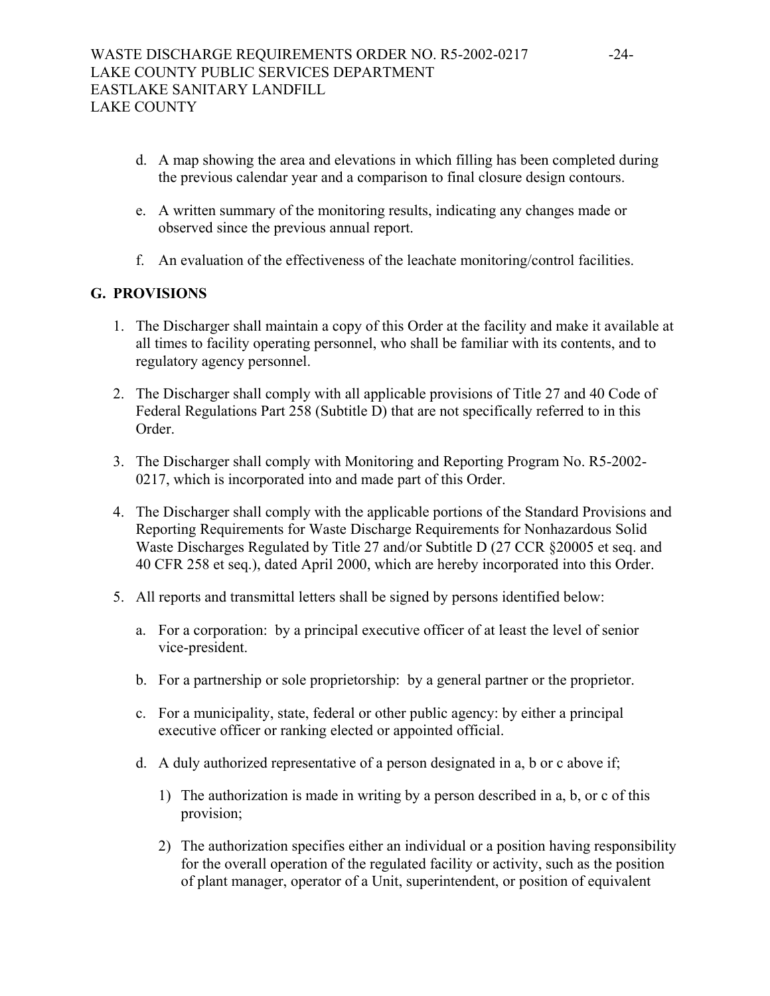- d. A map showing the area and elevations in which filling has been completed during the previous calendar year and a comparison to final closure design contours.
- e. A written summary of the monitoring results, indicating any changes made or observed since the previous annual report.
- f. An evaluation of the effectiveness of the leachate monitoring/control facilities.

# **G. PROVISIONS**

- 1. The Discharger shall maintain a copy of this Order at the facility and make it available at all times to facility operating personnel, who shall be familiar with its contents, and to regulatory agency personnel.
- 2. The Discharger shall comply with all applicable provisions of Title 27 and 40 Code of Federal Regulations Part 258 (Subtitle D) that are not specifically referred to in this Order.
- 3. The Discharger shall comply with Monitoring and Reporting Program No. R5-2002- 0217, which is incorporated into and made part of this Order.
- 4. The Discharger shall comply with the applicable portions of the Standard Provisions and Reporting Requirements for Waste Discharge Requirements for Nonhazardous Solid Waste Discharges Regulated by Title 27 and/or Subtitle D (27 CCR §20005 et seq. and 40 CFR 258 et seq.), dated April 2000, which are hereby incorporated into this Order.
- 5. All reports and transmittal letters shall be signed by persons identified below:
	- a. For a corporation: by a principal executive officer of at least the level of senior vice-president.
	- b. For a partnership or sole proprietorship: by a general partner or the proprietor.
	- c. For a municipality, state, federal or other public agency: by either a principal executive officer or ranking elected or appointed official.
	- d. A duly authorized representative of a person designated in a, b or c above if;
		- 1) The authorization is made in writing by a person described in a, b, or c of this provision;
		- 2) The authorization specifies either an individual or a position having responsibility for the overall operation of the regulated facility or activity, such as the position of plant manager, operator of a Unit, superintendent, or position of equivalent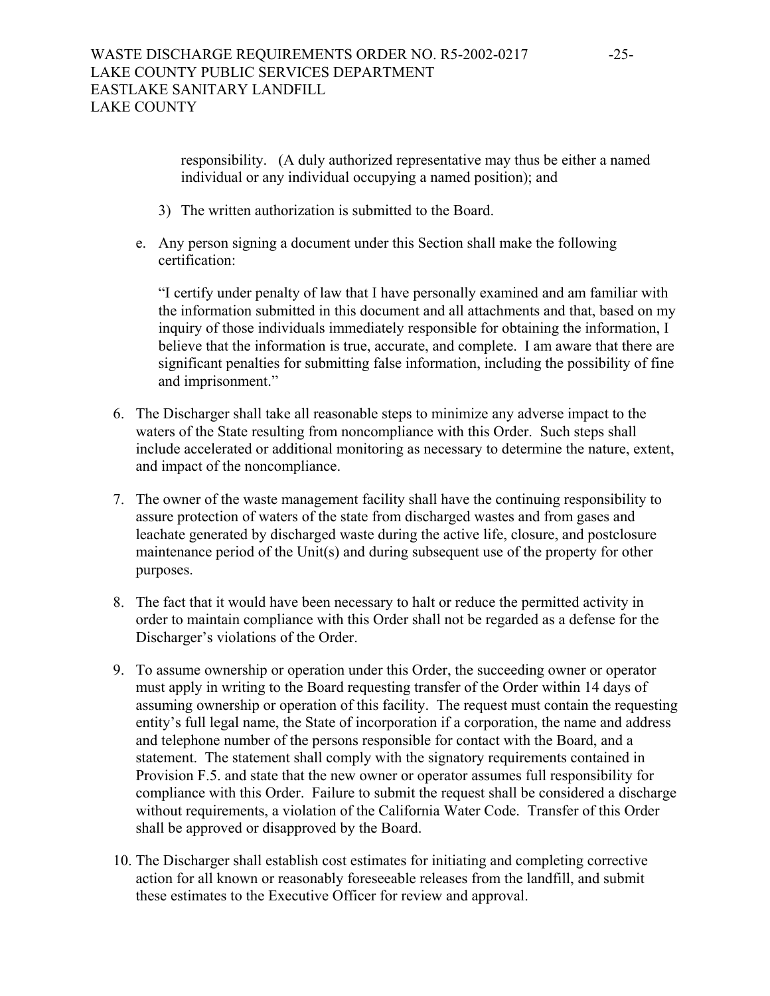responsibility. (A duly authorized representative may thus be either a named individual or any individual occupying a named position); and

- 3) The written authorization is submitted to the Board.
- e. Any person signing a document under this Section shall make the following certification:

"I certify under penalty of law that I have personally examined and am familiar with the information submitted in this document and all attachments and that, based on my inquiry of those individuals immediately responsible for obtaining the information, I believe that the information is true, accurate, and complete. I am aware that there are significant penalties for submitting false information, including the possibility of fine and imprisonment."

- 6. The Discharger shall take all reasonable steps to minimize any adverse impact to the waters of the State resulting from noncompliance with this Order. Such steps shall include accelerated or additional monitoring as necessary to determine the nature, extent, and impact of the noncompliance.
- 7. The owner of the waste management facility shall have the continuing responsibility to assure protection of waters of the state from discharged wastes and from gases and leachate generated by discharged waste during the active life, closure, and postclosure maintenance period of the Unit(s) and during subsequent use of the property for other purposes.
- 8. The fact that it would have been necessary to halt or reduce the permitted activity in order to maintain compliance with this Order shall not be regarded as a defense for the Discharger's violations of the Order.
- 9. To assume ownership or operation under this Order, the succeeding owner or operator must apply in writing to the Board requesting transfer of the Order within 14 days of assuming ownership or operation of this facility. The request must contain the requesting entity's full legal name, the State of incorporation if a corporation, the name and address and telephone number of the persons responsible for contact with the Board, and a statement. The statement shall comply with the signatory requirements contained in Provision F.5. and state that the new owner or operator assumes full responsibility for compliance with this Order. Failure to submit the request shall be considered a discharge without requirements, a violation of the California Water Code. Transfer of this Order shall be approved or disapproved by the Board.
- 10. The Discharger shall establish cost estimates for initiating and completing corrective action for all known or reasonably foreseeable releases from the landfill, and submit these estimates to the Executive Officer for review and approval.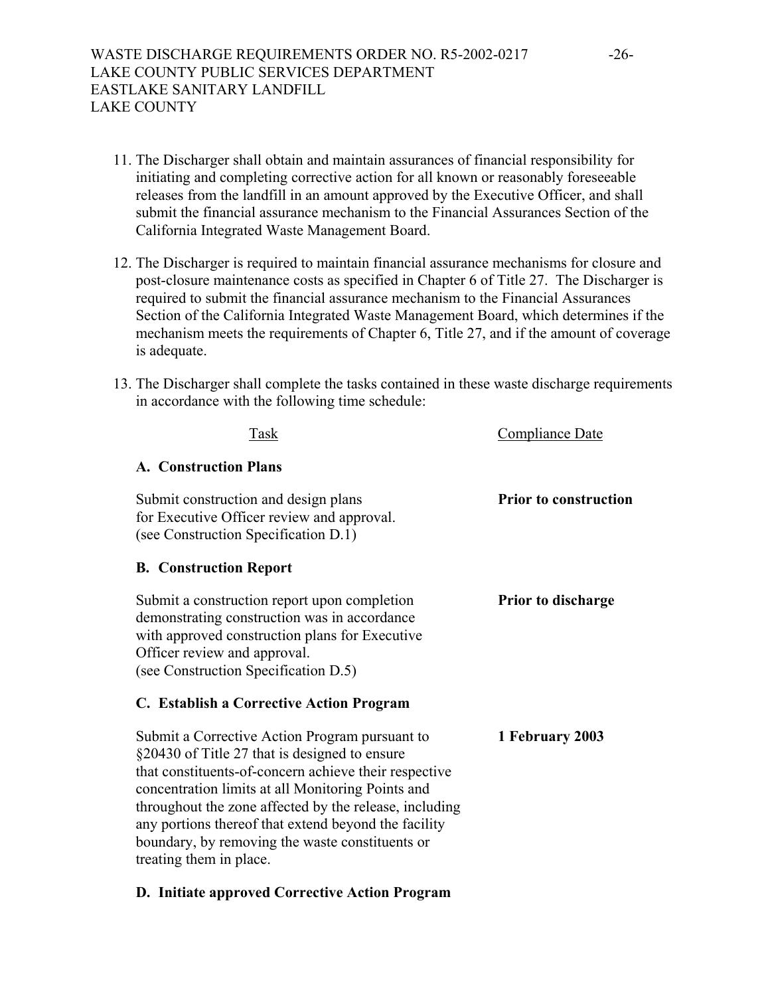- 11. The Discharger shall obtain and maintain assurances of financial responsibility for initiating and completing corrective action for all known or reasonably foreseeable releases from the landfill in an amount approved by the Executive Officer, and shall submit the financial assurance mechanism to the Financial Assurances Section of the California Integrated Waste Management Board.
- 12. The Discharger is required to maintain financial assurance mechanisms for closure and post-closure maintenance costs as specified in Chapter 6 of Title 27. The Discharger is required to submit the financial assurance mechanism to the Financial Assurances Section of the California Integrated Waste Management Board, which determines if the mechanism meets the requirements of Chapter 6, Title 27, and if the amount of coverage is adequate.
- 13. The Discharger shall complete the tasks contained in these waste discharge requirements in accordance with the following time schedule:

| Task                                                                                                                                                                                                                                                                                                                                                                                                                                                      | Compliance Date              |
|-----------------------------------------------------------------------------------------------------------------------------------------------------------------------------------------------------------------------------------------------------------------------------------------------------------------------------------------------------------------------------------------------------------------------------------------------------------|------------------------------|
| <b>A. Construction Plans</b>                                                                                                                                                                                                                                                                                                                                                                                                                              |                              |
| Submit construction and design plans<br>for Executive Officer review and approval.<br>(see Construction Specification D.1)                                                                                                                                                                                                                                                                                                                                | <b>Prior to construction</b> |
| <b>B. Construction Report</b>                                                                                                                                                                                                                                                                                                                                                                                                                             |                              |
| Submit a construction report upon completion<br>demonstrating construction was in accordance<br>with approved construction plans for Executive<br>Officer review and approval.<br>(see Construction Specification D.5)                                                                                                                                                                                                                                    | <b>Prior to discharge</b>    |
| C. Establish a Corrective Action Program<br>Submit a Corrective Action Program pursuant to<br>§20430 of Title 27 that is designed to ensure<br>that constituents-of-concern achieve their respective<br>concentration limits at all Monitoring Points and<br>throughout the zone affected by the release, including<br>any portions thereof that extend beyond the facility<br>boundary, by removing the waste constituents or<br>treating them in place. | 1 February 2003              |

# **D. Initiate approved Corrective Action Program**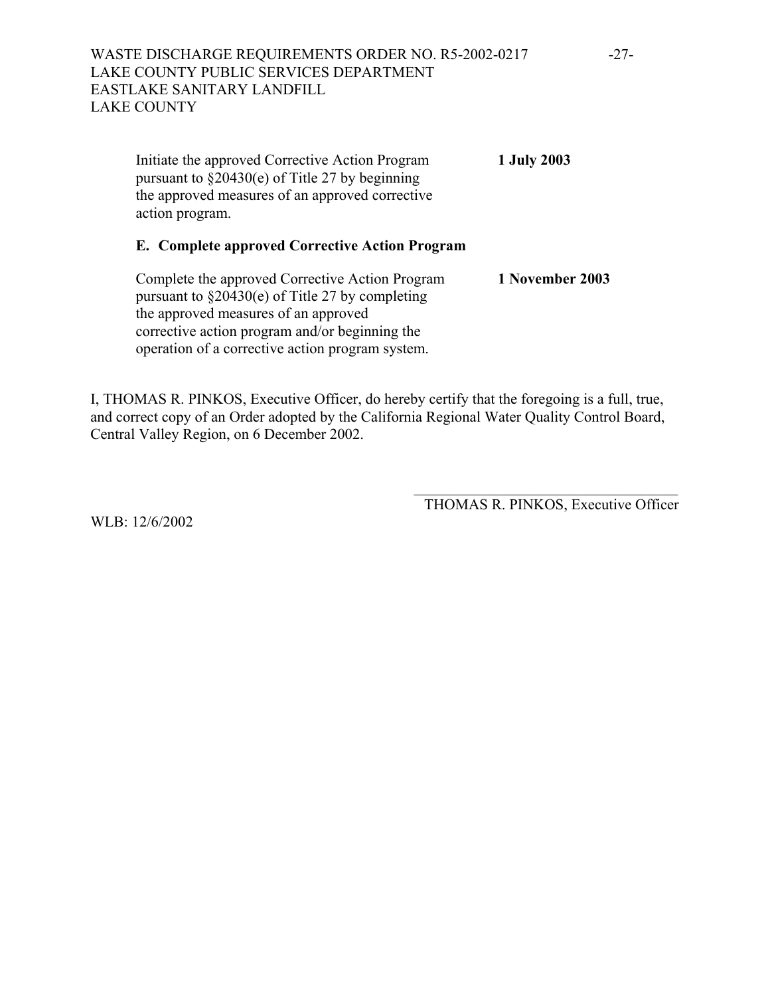Initiate the approved Corrective Action Program **1 July 2003** pursuant to §20430(e) of Title 27 by beginning the approved measures of an approved corrective action program.

# **E. Complete approved Corrective Action Program**

Complete the approved Corrective Action Program **1 November 2003** pursuant to  $\S 20430(e)$  of Title 27 by completing the approved measures of an approved corrective action program and/or beginning the operation of a corrective action program system.

I, THOMAS R. PINKOS, Executive Officer, do hereby certify that the foregoing is a full, true, and correct copy of an Order adopted by the California Regional Water Quality Control Board, Central Valley Region, on 6 December 2002.

> \_\_\_\_\_\_\_\_\_\_\_\_\_\_\_\_\_\_\_\_\_\_\_\_\_\_\_\_\_\_\_\_\_\_\_ THOMAS R. PINKOS, Executive Officer

WLB: 12/6/2002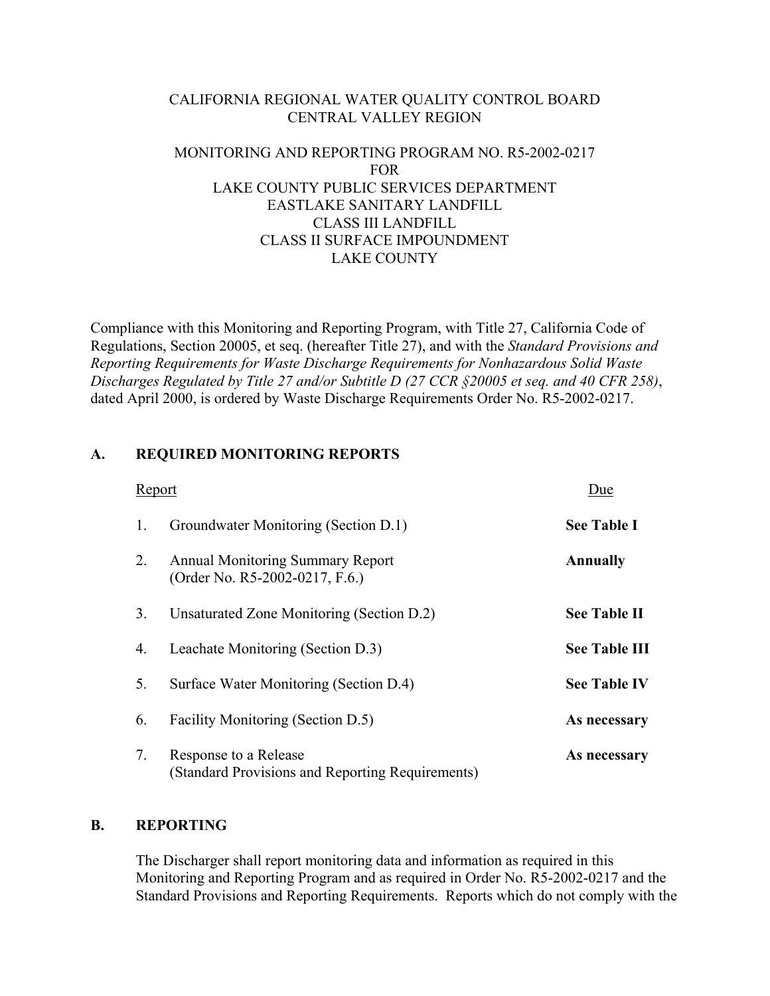# CALIFORNIA REGIONAL WATER QUALITY CONTROL BOARD CENTRAL VALLEY REGION

# MONITORING AND REPORTING PROGRAM NO. R5-2002-0217 FOR LAKE COUNTY PUBLIC SERVICES DEPARTMENT EASTLAKE SANITARY LANDFILL CLASS III LANDFILL CLASS II SURFACE IMPOUNDMENT LAKE COUNTY

Compliance with this Monitoring and Reporting Program, with Title 27, California Code of Regulations, Section 20005, et seq. (hereafter Title 27), and with the *Standard Provisions and Reporting Requirements for Waste Discharge Requirements for Nonhazardous Solid Waste Discharges Regulated by Title 27 and/or Subtitle D (27 CCR §20005 et seq. and 40 CFR 258)*, dated April 2000, is ordered by Waste Discharge Requirements Order No. R5-2002-0217.

# **A. REQUIRED MONITORING REPORTS**

| Report |                                                                           | Due                  |
|--------|---------------------------------------------------------------------------|----------------------|
| 1.     | Groundwater Monitoring (Section D.1)                                      | <b>See Table I</b>   |
| 2.     | <b>Annual Monitoring Summary Report</b><br>(Order No. R5-2002-0217, F.6.) | <b>Annually</b>      |
| 3.     | Unsaturated Zone Monitoring (Section D.2)                                 | <b>See Table II</b>  |
| 4.     | Leachate Monitoring (Section D.3)                                         | <b>See Table III</b> |
| 5.     | Surface Water Monitoring (Section D.4)                                    | <b>See Table IV</b>  |
| 6.     | Facility Monitoring (Section D.5)                                         | As necessary         |
| 7.     | Response to a Release<br>(Standard Provisions and Reporting Requirements) | As necessary         |

## **B. REPORTING**

 The Discharger shall report monitoring data and information as required in this Monitoring and Reporting Program and as required in Order No. R5-2002-0217 and the Standard Provisions and Reporting Requirements. Reports which do not comply with the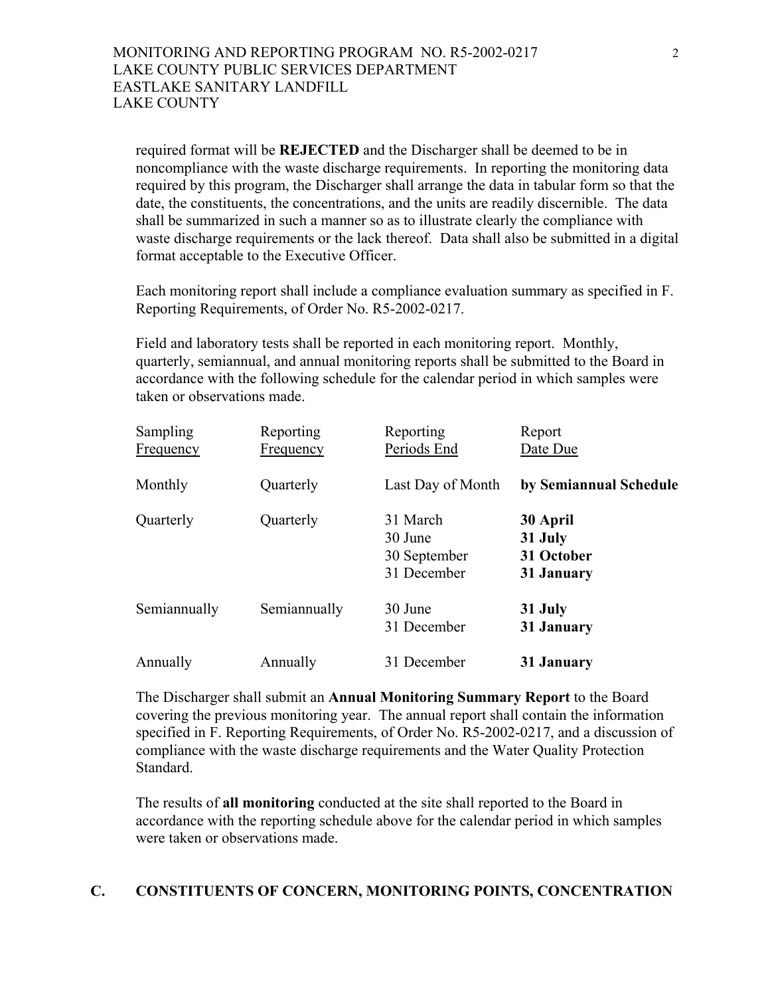required format will be **REJECTED** and the Discharger shall be deemed to be in noncompliance with the waste discharge requirements. In reporting the monitoring data required by this program, the Discharger shall arrange the data in tabular form so that the date, the constituents, the concentrations, and the units are readily discernible. The data shall be summarized in such a manner so as to illustrate clearly the compliance with waste discharge requirements or the lack thereof. Data shall also be submitted in a digital format acceptable to the Executive Officer.

 Each monitoring report shall include a compliance evaluation summary as specified in F. Reporting Requirements, of Order No. R5-2002-0217.

 Field and laboratory tests shall be reported in each monitoring report. Monthly, quarterly, semiannual, and annual monitoring reports shall be submitted to the Board in accordance with the following schedule for the calendar period in which samples were taken or observations made.

| <b>Sampling</b><br><b>Frequency</b> | Reporting<br><b>Frequency</b> | Reporting<br>Periods End                           | Report<br>Date Due                              |
|-------------------------------------|-------------------------------|----------------------------------------------------|-------------------------------------------------|
| Monthly                             | Quarterly                     | Last Day of Month                                  | by Semiannual Schedule                          |
| Quarterly                           | Quarterly                     | 31 March<br>30 June<br>30 September<br>31 December | 30 April<br>31 July<br>31 October<br>31 January |
| Semiannually                        | Semiannually                  | 30 June<br>31 December                             | 31 July<br>31 January                           |
| Annually                            | Annually                      | 31 December                                        | 31 January                                      |

 The Discharger shall submit an **Annual Monitoring Summary Report** to the Board covering the previous monitoring year. The annual report shall contain the information specified in F. Reporting Requirements, of Order No. R5-2002-0217, and a discussion of compliance with the waste discharge requirements and the Water Quality Protection Standard.

 The results of **all monitoring** conducted at the site shall reported to the Board in accordance with the reporting schedule above for the calendar period in which samples were taken or observations made.

# **C. CONSTITUENTS OF CONCERN, MONITORING POINTS, CONCENTRATION**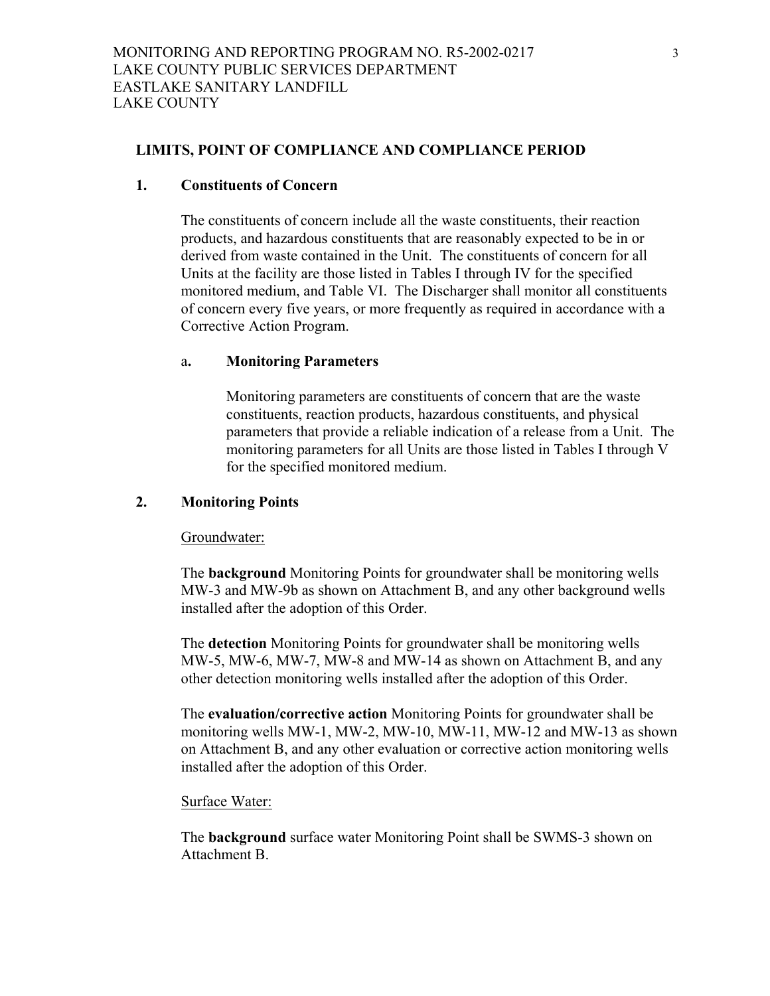#### **LIMITS, POINT OF COMPLIANCE AND COMPLIANCE PERIOD**

#### **1. Constituents of Concern**

 The constituents of concern include all the waste constituents, their reaction products, and hazardous constituents that are reasonably expected to be in or derived from waste contained in the Unit. The constituents of concern for all Units at the facility are those listed in Tables I through IV for the specified monitored medium, and Table VI. The Discharger shall monitor all constituents of concern every five years, or more frequently as required in accordance with a Corrective Action Program.

#### a**. Monitoring Parameters**

 Monitoring parameters are constituents of concern that are the waste constituents, reaction products, hazardous constituents, and physical parameters that provide a reliable indication of a release from a Unit. The monitoring parameters for all Units are those listed in Tables I through V for the specified monitored medium.

#### **2. Monitoring Points**

#### Groundwater:

The **background** Monitoring Points for groundwater shall be monitoring wells MW-3 and MW-9b as shown on Attachment B, and any other background wells installed after the adoption of this Order.

The **detection** Monitoring Points for groundwater shall be monitoring wells MW-5, MW-6, MW-7, MW-8 and MW-14 as shown on Attachment B, and any other detection monitoring wells installed after the adoption of this Order.

The **evaluation/corrective action** Monitoring Points for groundwater shall be monitoring wells MW-1, MW-2, MW-10, MW-11, MW-12 and MW-13 as shown on Attachment B, and any other evaluation or corrective action monitoring wells installed after the adoption of this Order.

#### Surface Water:

The **background** surface water Monitoring Point shall be SWMS-3 shown on Attachment B.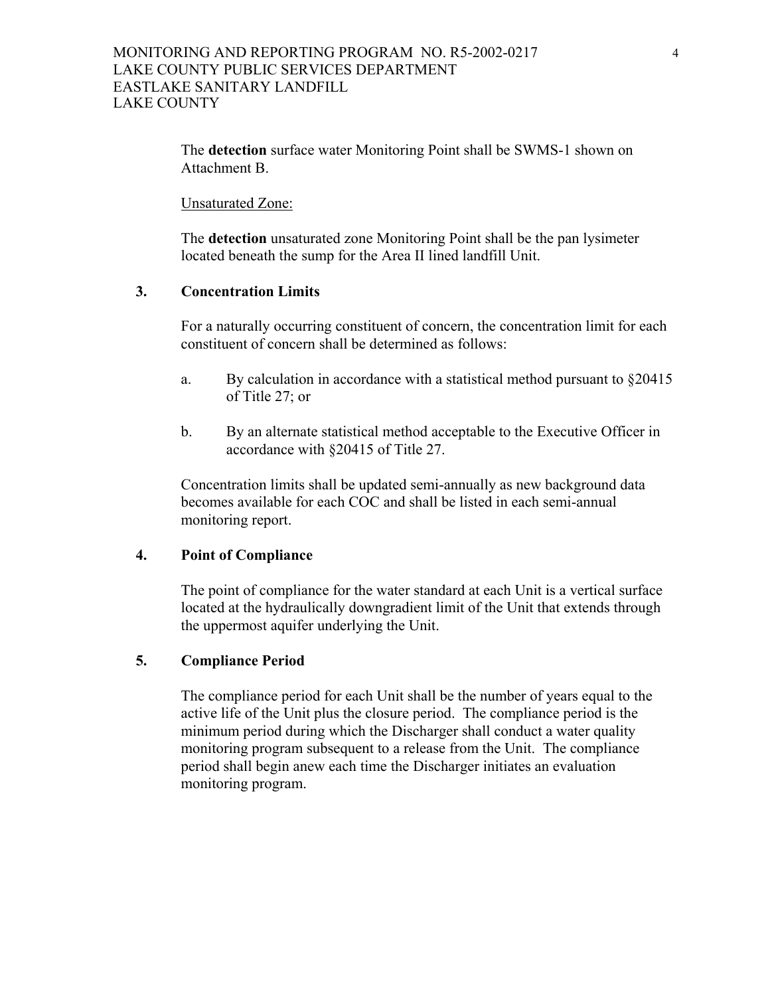The **detection** surface water Monitoring Point shall be SWMS-1 shown on Attachment B.

Unsaturated Zone:

The **detection** unsaturated zone Monitoring Point shall be the pan lysimeter located beneath the sump for the Area II lined landfill Unit.

# **3. Concentration Limits**

 For a naturally occurring constituent of concern, the concentration limit for each constituent of concern shall be determined as follows:

- a. By calculation in accordance with a statistical method pursuant to  $\S 20415$ of Title 27; or
- b. By an alternate statistical method acceptable to the Executive Officer in accordance with §20415 of Title 27.

 Concentration limits shall be updated semi-annually as new background data becomes available for each COC and shall be listed in each semi-annual monitoring report.

## **4. Point of Compliance**

 The point of compliance for the water standard at each Unit is a vertical surface located at the hydraulically downgradient limit of the Unit that extends through the uppermost aquifer underlying the Unit.

# **5. Compliance Period**

 The compliance period for each Unit shall be the number of years equal to the active life of the Unit plus the closure period. The compliance period is the minimum period during which the Discharger shall conduct a water quality monitoring program subsequent to a release from the Unit. The compliance period shall begin anew each time the Discharger initiates an evaluation monitoring program.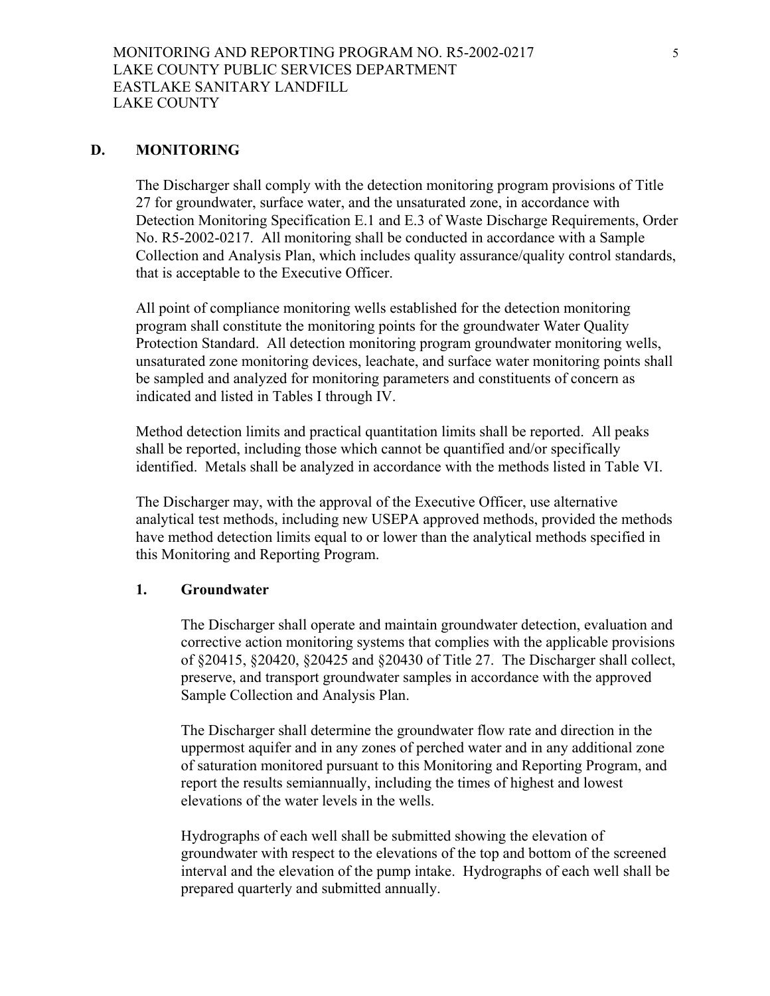# **D. MONITORING**

The Discharger shall comply with the detection monitoring program provisions of Title 27 for groundwater, surface water, and the unsaturated zone, in accordance with Detection Monitoring Specification E.1 and E.3 of Waste Discharge Requirements, Order No. R5-2002-0217. All monitoring shall be conducted in accordance with a Sample Collection and Analysis Plan, which includes quality assurance/quality control standards, that is acceptable to the Executive Officer.

All point of compliance monitoring wells established for the detection monitoring program shall constitute the monitoring points for the groundwater Water Quality Protection Standard. All detection monitoring program groundwater monitoring wells, unsaturated zone monitoring devices, leachate, and surface water monitoring points shall be sampled and analyzed for monitoring parameters and constituents of concern as indicated and listed in Tables I through IV.

Method detection limits and practical quantitation limits shall be reported. All peaks shall be reported, including those which cannot be quantified and/or specifically identified. Metals shall be analyzed in accordance with the methods listed in Table VI.

The Discharger may, with the approval of the Executive Officer, use alternative analytical test methods, including new USEPA approved methods, provided the methods have method detection limits equal to or lower than the analytical methods specified in this Monitoring and Reporting Program.

## **1. Groundwater**

The Discharger shall operate and maintain groundwater detection, evaluation and corrective action monitoring systems that complies with the applicable provisions of §20415, §20420, §20425 and §20430 of Title 27. The Discharger shall collect, preserve, and transport groundwater samples in accordance with the approved Sample Collection and Analysis Plan.

The Discharger shall determine the groundwater flow rate and direction in the uppermost aquifer and in any zones of perched water and in any additional zone of saturation monitored pursuant to this Monitoring and Reporting Program, and report the results semiannually, including the times of highest and lowest elevations of the water levels in the wells.

Hydrographs of each well shall be submitted showing the elevation of groundwater with respect to the elevations of the top and bottom of the screened interval and the elevation of the pump intake. Hydrographs of each well shall be prepared quarterly and submitted annually.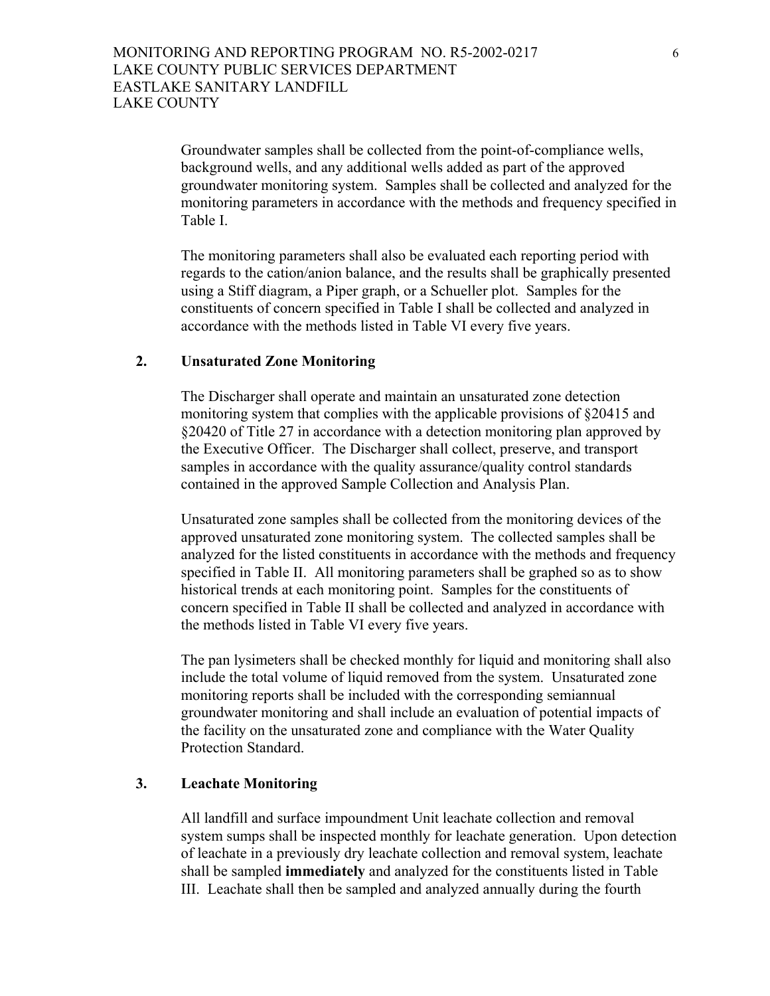Groundwater samples shall be collected from the point-of-compliance wells, background wells, and any additional wells added as part of the approved groundwater monitoring system. Samples shall be collected and analyzed for the monitoring parameters in accordance with the methods and frequency specified in Table I.

The monitoring parameters shall also be evaluated each reporting period with regards to the cation/anion balance, and the results shall be graphically presented using a Stiff diagram, a Piper graph, or a Schueller plot. Samples for the constituents of concern specified in Table I shall be collected and analyzed in accordance with the methods listed in Table VI every five years.

#### **2. Unsaturated Zone Monitoring**

The Discharger shall operate and maintain an unsaturated zone detection monitoring system that complies with the applicable provisions of §20415 and §20420 of Title 27 in accordance with a detection monitoring plan approved by the Executive Officer. The Discharger shall collect, preserve, and transport samples in accordance with the quality assurance/quality control standards contained in the approved Sample Collection and Analysis Plan.

Unsaturated zone samples shall be collected from the monitoring devices of the approved unsaturated zone monitoring system. The collected samples shall be analyzed for the listed constituents in accordance with the methods and frequency specified in Table II. All monitoring parameters shall be graphed so as to show historical trends at each monitoring point. Samples for the constituents of concern specified in Table II shall be collected and analyzed in accordance with the methods listed in Table VI every five years.

The pan lysimeters shall be checked monthly for liquid and monitoring shall also include the total volume of liquid removed from the system. Unsaturated zone monitoring reports shall be included with the corresponding semiannual groundwater monitoring and shall include an evaluation of potential impacts of the facility on the unsaturated zone and compliance with the Water Quality Protection Standard.

# **3. Leachate Monitoring**

All landfill and surface impoundment Unit leachate collection and removal system sumps shall be inspected monthly for leachate generation. Upon detection of leachate in a previously dry leachate collection and removal system, leachate shall be sampled **immediately** and analyzed for the constituents listed in Table III. Leachate shall then be sampled and analyzed annually during the fourth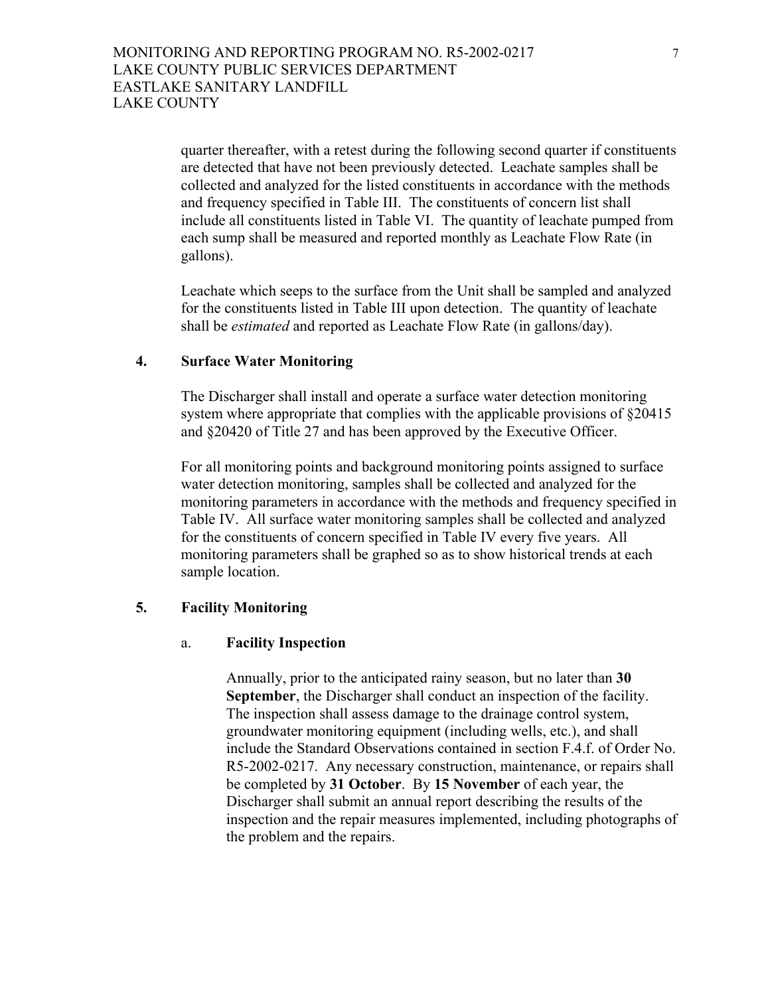quarter thereafter, with a retest during the following second quarter if constituents are detected that have not been previously detected. Leachate samples shall be collected and analyzed for the listed constituents in accordance with the methods and frequency specified in Table III. The constituents of concern list shall include all constituents listed in Table VI. The quantity of leachate pumped from each sump shall be measured and reported monthly as Leachate Flow Rate (in gallons).

Leachate which seeps to the surface from the Unit shall be sampled and analyzed for the constituents listed in Table III upon detection. The quantity of leachate shall be *estimated* and reported as Leachate Flow Rate (in gallons/day).

## **4. Surface Water Monitoring**

The Discharger shall install and operate a surface water detection monitoring system where appropriate that complies with the applicable provisions of  $\S 20415$ and §20420 of Title 27 and has been approved by the Executive Officer.

For all monitoring points and background monitoring points assigned to surface water detection monitoring, samples shall be collected and analyzed for the monitoring parameters in accordance with the methods and frequency specified in Table IV. All surface water monitoring samples shall be collected and analyzed for the constituents of concern specified in Table IV every five years. All monitoring parameters shall be graphed so as to show historical trends at each sample location.

#### **5. Facility Monitoring**

#### a. **Facility Inspection**

Annually, prior to the anticipated rainy season, but no later than **30 September**, the Discharger shall conduct an inspection of the facility. The inspection shall assess damage to the drainage control system, groundwater monitoring equipment (including wells, etc.), and shall include the Standard Observations contained in section F.4.f. of Order No. R5-2002-0217. Any necessary construction, maintenance, or repairs shall be completed by **31 October**. By **15 November** of each year, the Discharger shall submit an annual report describing the results of the inspection and the repair measures implemented, including photographs of the problem and the repairs.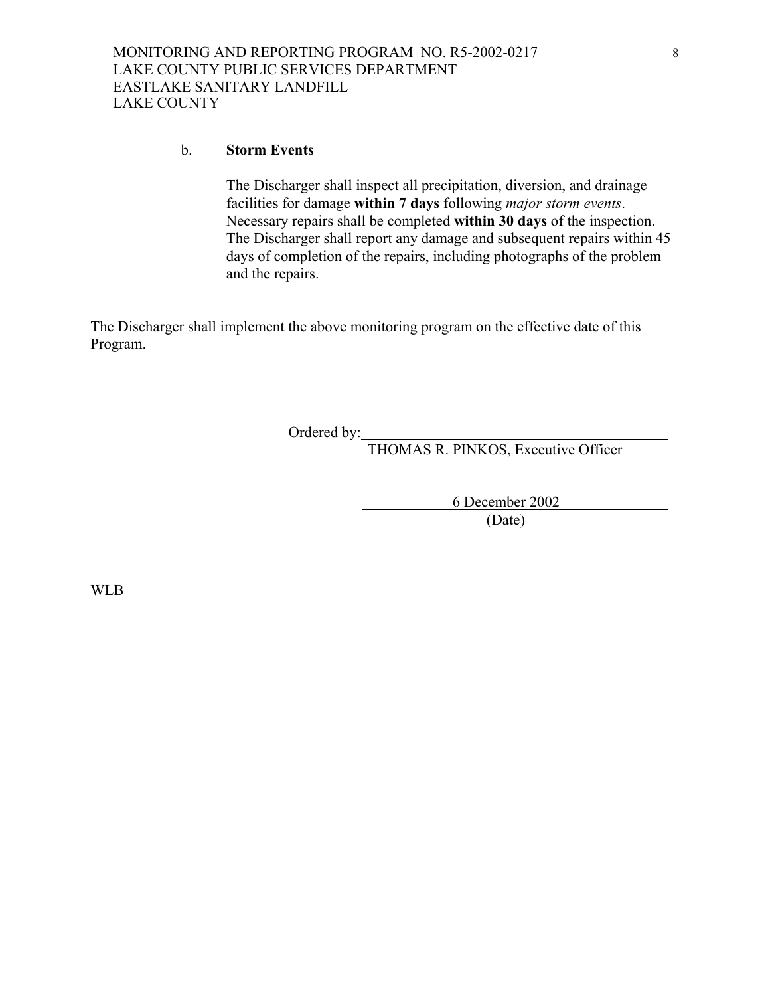#### b. **Storm Events**

The Discharger shall inspect all precipitation, diversion, and drainage facilities for damage **within 7 days** following *major storm events*. Necessary repairs shall be completed **within 30 days** of the inspection. The Discharger shall report any damage and subsequent repairs within 45 days of completion of the repairs, including photographs of the problem and the repairs.

The Discharger shall implement the above monitoring program on the effective date of this Program.

Ordered by:

THOMAS R. PINKOS, Executive Officer

 6 December 2002 (Date)

WLB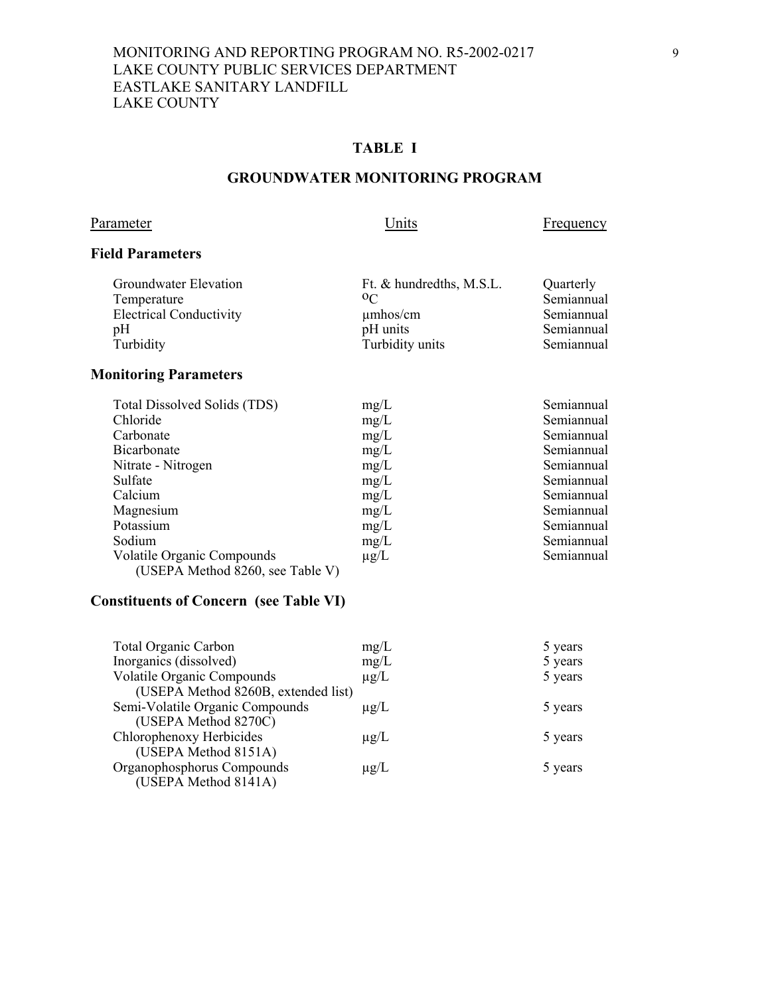# **TABLE I**

#### **GROUNDWATER MONITORING PROGRAM**

# Parameter Units Erequency

## **Field Parameters**

| Ft. & hundredths, M.S.L. | Quarterly  |
|--------------------------|------------|
| $0\text{C}$              | Semiannual |
| $\mu$ mhos/cm            | Semiannual |
| pH units                 | Semiannual |
| Turbidity units          | Semiannual |
|                          |            |

# **Monitoring Parameters**

| Total Dissolved Solids (TDS)      | mg/L      | Semiannual |
|-----------------------------------|-----------|------------|
| Chloride                          | mg/L      | Semiannual |
| Carbonate                         | mg/L      | Semiannual |
| Bicarbonate                       | mg/L      | Semiannual |
| Nitrate - Nitrogen                | mg/L      | Semiannual |
| Sulfate                           | mg/L      | Semiannual |
| Calcium                           | mg/L      | Semiannual |
| Magnesium                         | mg/L      | Semiannual |
| Potassium                         | mg/L      | Semiannual |
| Sodium                            | mg/L      | Semiannual |
| <b>Volatile Organic Compounds</b> | $\mu$ g/L | Semiannual |
| (USEPA Method 8260, see Table V)  |           |            |

# **Constituents of Concern (see Table VI)**

| <b>Total Organic Carbon</b>         | mg/L      | 5 years |
|-------------------------------------|-----------|---------|
| Inorganics (dissolved)              | mg/L      | 5 years |
| <b>Volatile Organic Compounds</b>   | $\mu$ g/L | 5 years |
| (USEPA Method 8260B, extended list) |           |         |
| Semi-Volatile Organic Compounds     | $\mu$ g/L | 5 years |
| (USEPA Method 8270C)                |           |         |
| Chlorophenoxy Herbicides            | $\mu$ g/L | 5 years |
| (USEPA Method 8151A)                |           |         |
| Organophosphorus Compounds          | $\mu$ g/L | 5 years |
| (USEPA Method 8141A)                |           |         |
|                                     |           |         |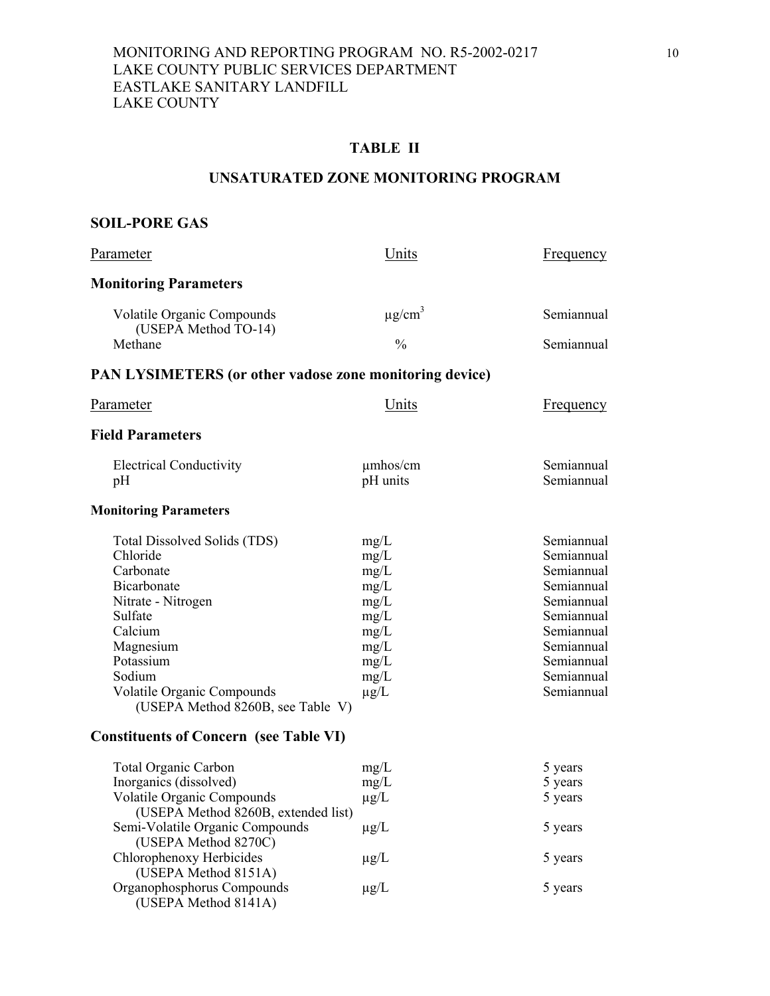# **TABLE II**

#### **UNSATURATED ZONE MONITORING PROGRAM**

# **SOIL-PORE GAS**

| Parameter                                                                                                                                                                                                               | Units                                                                                     | <b>Frequency</b>                                                                                                                                       |
|-------------------------------------------------------------------------------------------------------------------------------------------------------------------------------------------------------------------------|-------------------------------------------------------------------------------------------|--------------------------------------------------------------------------------------------------------------------------------------------------------|
| <b>Monitoring Parameters</b>                                                                                                                                                                                            |                                                                                           |                                                                                                                                                        |
| Volatile Organic Compounds<br>(USEPA Method TO-14)                                                                                                                                                                      | $\mu$ g/cm <sup>3</sup>                                                                   | Semiannual                                                                                                                                             |
| Methane                                                                                                                                                                                                                 | $\frac{0}{0}$                                                                             | Semiannual                                                                                                                                             |
| <b>PAN LYSIMETERS (or other vadose zone monitoring device)</b>                                                                                                                                                          |                                                                                           |                                                                                                                                                        |
| Parameter                                                                                                                                                                                                               | Units                                                                                     | <b>Frequency</b>                                                                                                                                       |
| <b>Field Parameters</b>                                                                                                                                                                                                 |                                                                                           |                                                                                                                                                        |
| <b>Electrical Conductivity</b><br>pH                                                                                                                                                                                    | $\mu$ mhos/cm<br>pH units                                                                 | Semiannual<br>Semiannual                                                                                                                               |
| <b>Monitoring Parameters</b>                                                                                                                                                                                            |                                                                                           |                                                                                                                                                        |
| Total Dissolved Solids (TDS)<br>Chloride<br>Carbonate<br>Bicarbonate<br>Nitrate - Nitrogen<br>Sulfate<br>Calcium<br>Magnesium<br>Potassium<br>Sodium<br>Volatile Organic Compounds<br>(USEPA Method 8260B, see Table V) | mg/L<br>mg/L<br>mg/L<br>mg/L<br>mg/L<br>mg/L<br>mg/L<br>mg/L<br>mg/L<br>mg/L<br>$\mu$ g/L | Semiannual<br>Semiannual<br>Semiannual<br>Semiannual<br>Semiannual<br>Semiannual<br>Semiannual<br>Semiannual<br>Semiannual<br>Semiannual<br>Semiannual |
| <b>Constituents of Concern (see Table VI)</b>                                                                                                                                                                           |                                                                                           |                                                                                                                                                        |
| <b>Total Organic Carbon</b><br>Inorganics (dissolved)<br>Volatile Organic Compounds<br>(USEPA Method 8260B, extended list)                                                                                              | mg/L<br>mg/L<br>$\mu$ g/L                                                                 | 5 years<br>5 years<br>5 years                                                                                                                          |
| Semi-Volatile Organic Compounds<br>(USEPA Method 8270C)                                                                                                                                                                 | $\mu$ g/L                                                                                 | 5 years                                                                                                                                                |
| Chlorophenoxy Herbicides<br>(USEPA Method 8151A)                                                                                                                                                                        | $\mu$ g/L                                                                                 | 5 years                                                                                                                                                |
| Organophosphorus Compounds<br>(USEPA Method 8141A)                                                                                                                                                                      | $\mu$ g/L                                                                                 | 5 years                                                                                                                                                |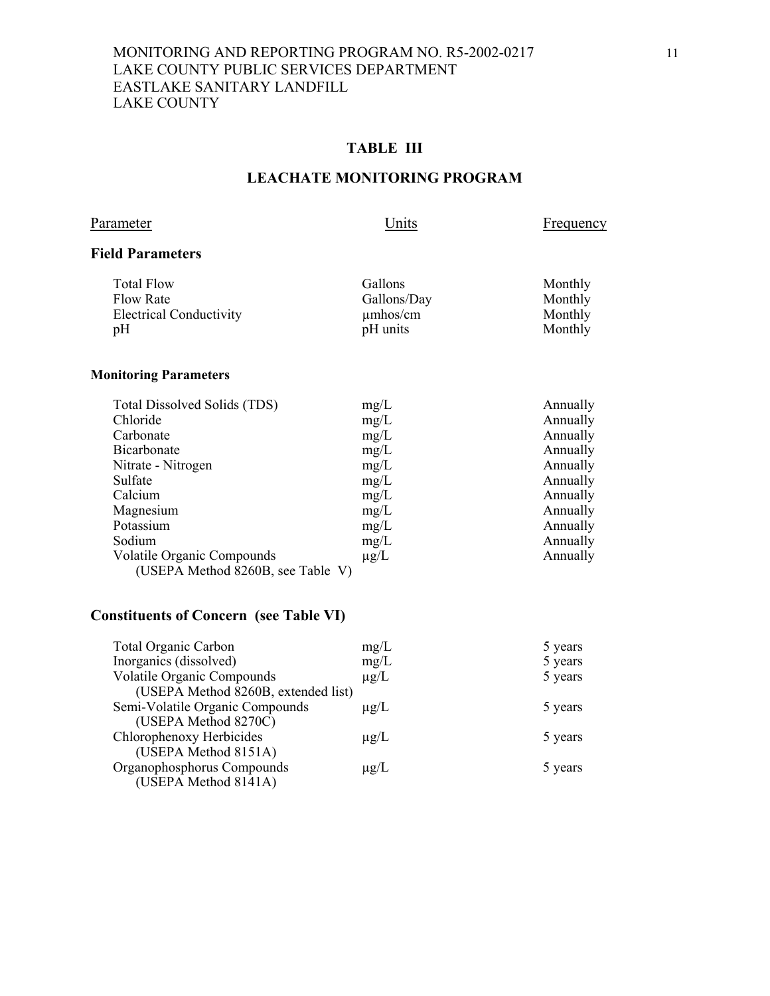# **TABLE III**

#### **LEACHATE MONITORING PROGRAM**

Parameter Units Erequency

#### **Field Parameters**

| Monthly<br>Monthly<br>Monthly<br>Monthly |
|------------------------------------------|
|                                          |

# **Monitoring Parameters**

| Total Dissolved Solids (TDS)      | mg/L      | Annually |
|-----------------------------------|-----------|----------|
| Chloride                          | mg/L      | Annually |
| Carbonate                         | mg/L      | Annually |
| Bicarbonate                       | mg/L      | Annually |
| Nitrate - Nitrogen                | mg/L      | Annually |
| Sulfate                           | mg/L      | Annually |
| Calcium                           | mg/L      | Annually |
| Magnesium                         | mg/L      | Annually |
| Potassium                         | mg/L      | Annually |
| Sodium                            | mg/L      | Annually |
| <b>Volatile Organic Compounds</b> | $\mu$ g/L | Annually |
| (USEPA Method 8260B, see Table V) |           |          |

# **Constituents of Concern (see Table VI)**

| <b>Total Organic Carbon</b>         | mg/L      | 5 years |
|-------------------------------------|-----------|---------|
| Inorganics (dissolved)              | mg/L      | 5 years |
| <b>Volatile Organic Compounds</b>   | $\mu$ g/L | 5 years |
| (USEPA Method 8260B, extended list) |           |         |
| Semi-Volatile Organic Compounds     | $\mu$ g/L | 5 years |
| (USEPA Method 8270C)                |           |         |
| Chlorophenoxy Herbicides            | $\mu$ g/L | 5 years |
| (USEPA Method 8151A)                |           |         |
| Organophosphorus Compounds          | $\mu$ g/L | 5 years |
| (USEPA Method 8141A)                |           |         |
|                                     |           |         |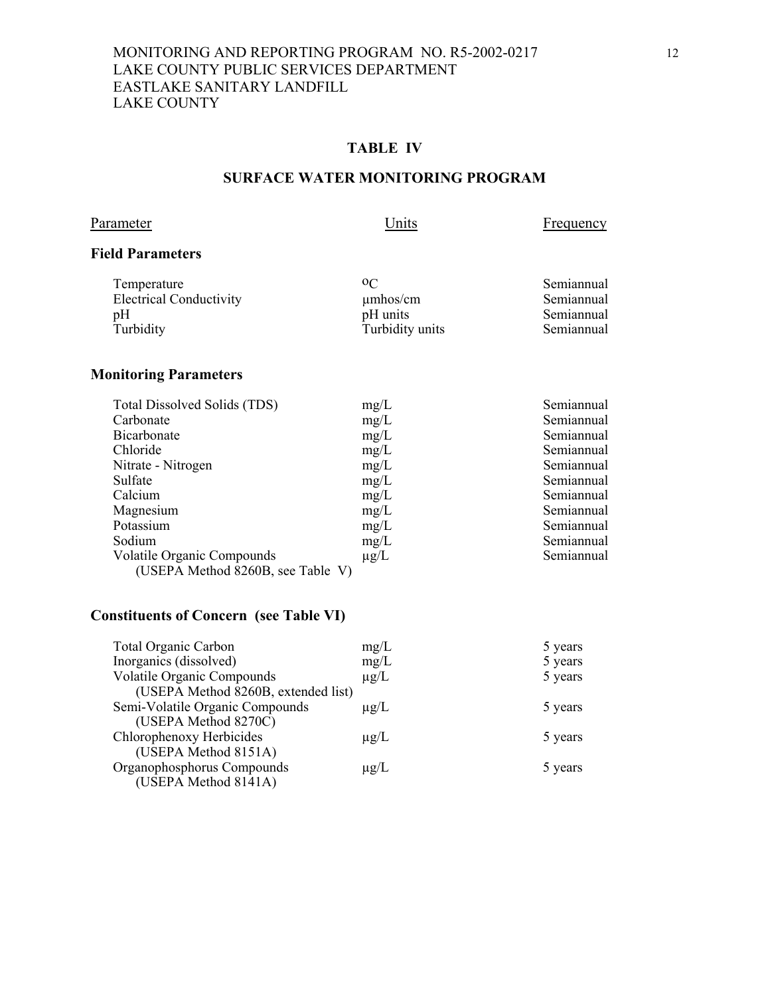# **TABLE IV**

#### **SURFACE WATER MONITORING PROGRAM**

# Parameter Units Erequency

#### **Field Parameters**

| 0 <sup>C</sup><br>Temperature<br><b>Electrical Conductivity</b><br>$\mu$ mhos/cm<br>pH units<br>pH<br>Turbidity units<br>Turbidity | Semiannual<br>Semiannual<br>Semiannual<br>Semiannual |
|------------------------------------------------------------------------------------------------------------------------------------|------------------------------------------------------|
|                                                                                                                                    |                                                      |

# **Monitoring Parameters**

| Total Dissolved Solids (TDS)      | mg/L      | Semiannual |
|-----------------------------------|-----------|------------|
| Carbonate                         | mg/L      | Semiannual |
| <b>Bicarbonate</b>                | mg/L      | Semiannual |
| Chloride                          | mg/L      | Semiannual |
| Nitrate - Nitrogen                | mg/L      | Semiannual |
| Sulfate                           | mg/L      | Semiannual |
| Calcium                           | mg/L      | Semiannual |
| Magnesium                         | mg/L      | Semiannual |
| Potassium                         | mg/L      | Semiannual |
| Sodium                            | mg/L      | Semiannual |
| <b>Volatile Organic Compounds</b> | $\mu$ g/L | Semiannual |
| (USEPA Method 8260B, see Table V) |           |            |

# **Constituents of Concern (see Table VI)**

| <b>Total Organic Carbon</b>         | mg/L      | 5 years |
|-------------------------------------|-----------|---------|
| Inorganics (dissolved)              | mg/L      | 5 years |
| <b>Volatile Organic Compounds</b>   | $\mu$ g/L | 5 years |
| (USEPA Method 8260B, extended list) |           |         |
| Semi-Volatile Organic Compounds     | $\mu$ g/L | 5 years |
| (USEPA Method 8270C)                |           |         |
| Chlorophenoxy Herbicides            | $\mu$ g/L | 5 years |
| (USEPA Method 8151A)                |           |         |
| Organophosphorus Compounds          | $\mu$ g/L | 5 years |
| (USEPA Method 8141A)                |           |         |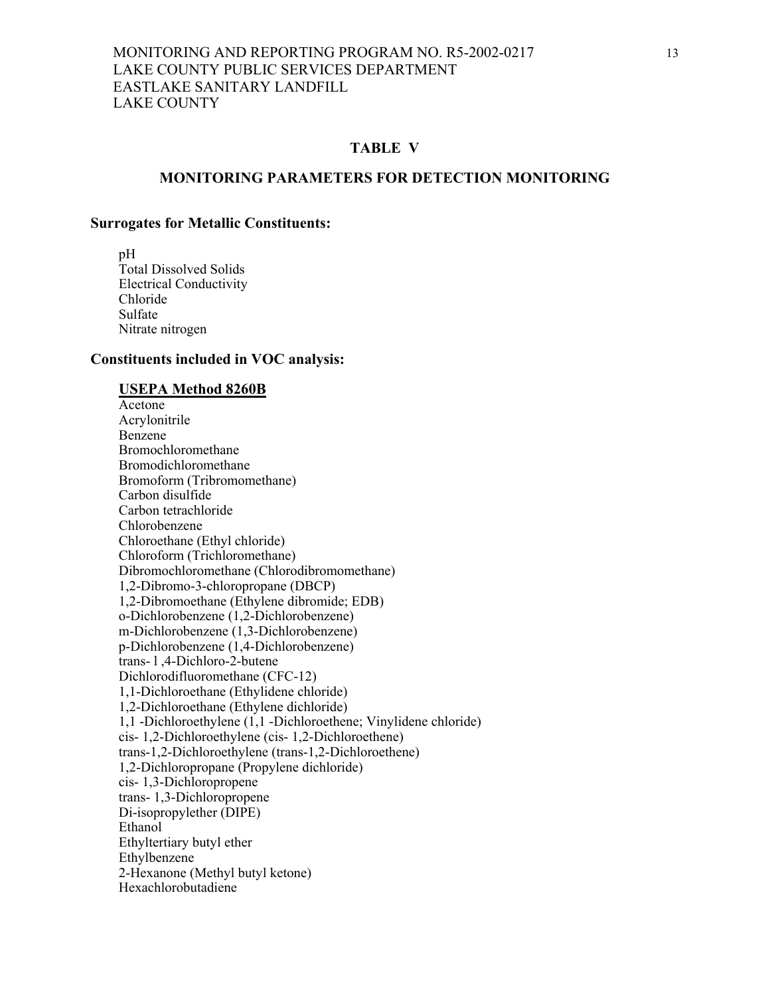#### **TABLE V**

#### **MONITORING PARAMETERS FOR DETECTION MONITORING**

#### **Surrogates for Metallic Constituents:**

 pH Total Dissolved Solids Electrical Conductivity Chloride Sulfate Nitrate nitrogen

#### **Constituents included in VOC analysis:**

#### **USEPA Method 8260B**

 Acetone Acrylonitrile Benzene Bromochloromethane Bromodichloromethane Bromoform (Tribromomethane) Carbon disulfide Carbon tetrachloride Chlorobenzene Chloroethane (Ethyl chloride) Chloroform (Trichloromethane) Dibromochloromethane (Chlorodibromomethane) 1,2-Dibromo-3-chloropropane (DBCP) 1,2-Dibromoethane (Ethylene dibromide; EDB) o-Dichlorobenzene (1,2-Dichlorobenzene) m-Dichlorobenzene (1,3-Dichlorobenzene) p-Dichlorobenzene (1,4-Dichlorobenzene) trans- l ,4-Dichloro-2-butene Dichlorodifluoromethane (CFC-12) 1,1-Dichloroethane (Ethylidene chloride) 1,2-Dichloroethane (Ethylene dichloride) 1,1 -Dichloroethylene (1,1 -Dichloroethene; Vinylidene chloride) cis- 1,2-Dichloroethylene (cis- 1,2-Dichloroethene) trans-1,2-Dichloroethylene (trans-1,2-Dichloroethene) 1,2-Dichloropropane (Propylene dichloride) cis- 1,3-Dichloropropene trans- 1,3-Dichloropropene Di-isopropylether (DIPE) Ethanol Ethyltertiary butyl ether Ethylbenzene 2-Hexanone (Methyl butyl ketone) Hexachlorobutadiene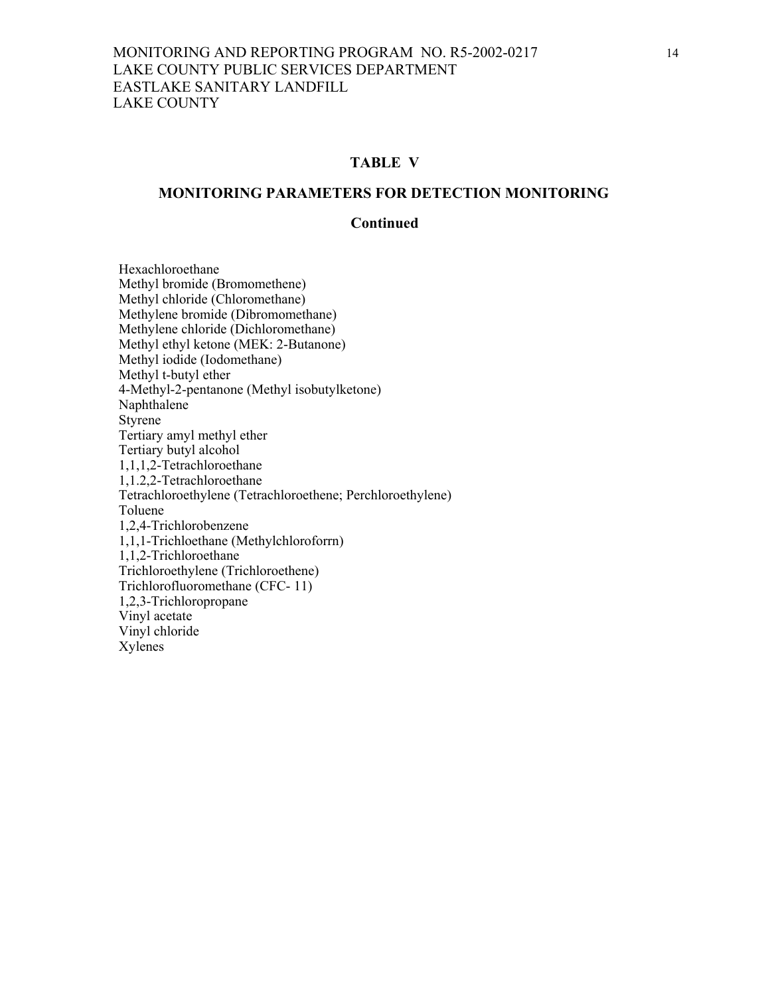#### **TABLE V**

#### **MONITORING PARAMETERS FOR DETECTION MONITORING**

#### **Continued**

 Hexachloroethane Methyl bromide (Bromomethene) Methyl chloride (Chloromethane) Methylene bromide (Dibromomethane) Methylene chloride (Dichloromethane) Methyl ethyl ketone (MEK: 2-Butanone) Methyl iodide (Iodomethane) Methyl t-butyl ether 4-Methyl-2-pentanone (Methyl isobutylketone) Naphthalene Styrene Tertiary amyl methyl ether Tertiary butyl alcohol 1,1,1,2-Tetrachloroethane 1,1.2,2-Tetrachloroethane Tetrachloroethylene (Tetrachloroethene; Perchloroethylene) Toluene 1,2,4-Trichlorobenzene 1,1,1-Trichloethane (Methylchloroforrn) 1,1,2-Trichloroethane Trichloroethylene (Trichloroethene) Trichlorofluoromethane (CFC- 11) 1,2,3-Trichloropropane Vinyl acetate Vinyl chloride Xylenes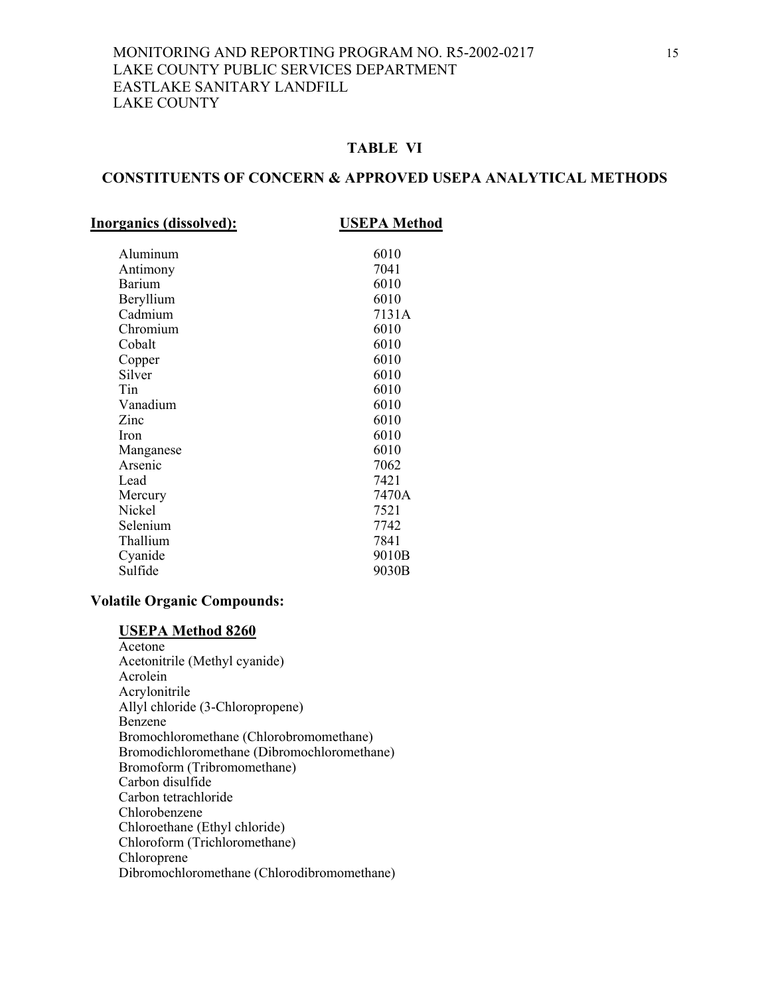# **TABLE VI**

#### **CONSTITUENTS OF CONCERN & APPROVED USEPA ANALYTICAL METHODS**

| <b>Inorganics (dissolved):</b> | <b>USEPA Method</b> |  |
|--------------------------------|---------------------|--|
| Aluminum                       | 6010                |  |
| Antimony                       | 7041                |  |
| <b>Barium</b>                  | 6010                |  |
| Beryllium                      | 6010                |  |
| Cadmium                        | 7131A               |  |
| Chromium                       | 6010                |  |
| Cobalt                         | 6010                |  |
| Copper                         | 6010                |  |
| Silver                         | 6010                |  |
| Tin                            | 6010                |  |
| Vanadium                       | 6010                |  |
| Zinc                           | 6010                |  |
| <b>Iron</b>                    | 6010                |  |
| Manganese                      | 6010                |  |
| Arsenic                        | 7062                |  |
| Lead                           | 7421                |  |
| Mercury                        | 7470A               |  |
| Nickel                         | 7521                |  |
| Selenium                       | 7742                |  |
| Thallium                       | 7841                |  |
| Cyanide                        | 9010B               |  |
| Sulfide                        | 9030B               |  |
|                                |                     |  |

#### **Volatile Organic Compounds:**

#### **USEPA Method 8260**

 Acetone Acetonitrile (Methyl cyanide) Acrolein Acrylonitrile Allyl chloride (3-Chloropropene) Benzene Bromochloromethane (Chlorobromomethane) Bromodichloromethane (Dibromochloromethane) Bromoform (Tribromomethane) Carbon disulfide Carbon tetrachloride Chlorobenzene Chloroethane (Ethyl chloride) Chloroform (Trichloromethane) Chloroprene Dibromochloromethane (Chlorodibromomethane)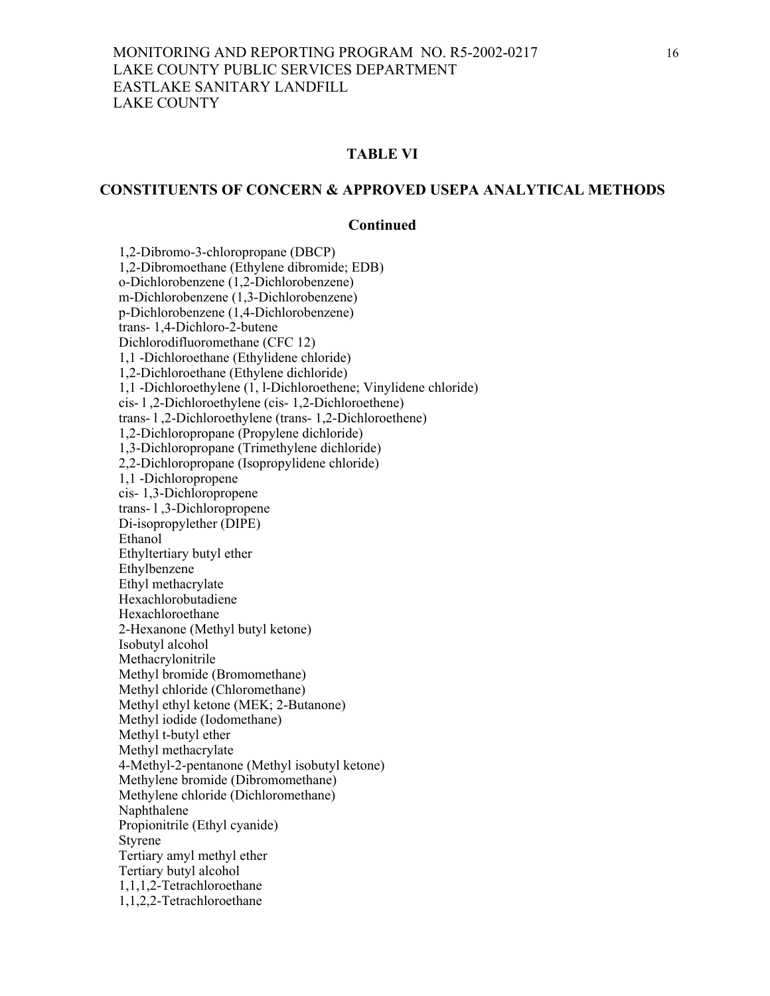#### **TABLE VI**

#### **CONSTITUENTS OF CONCERN & APPROVED USEPA ANALYTICAL METHODS**

#### **Continued**

 1,2-Dibromo-3-chloropropane (DBCP) 1,2-Dibromoethane (Ethylene dibromide; EDB) o-Dichlorobenzene (1,2-Dichlorobenzene) m-Dichlorobenzene (1,3-Dichlorobenzene) p-Dichlorobenzene (1,4-Dichlorobenzene) trans- 1,4-Dichloro-2-butene Dichlorodifluoromethane (CFC 12) 1,1 -Dichloroethane (Ethylidene chloride) 1,2-Dichloroethane (Ethylene dichloride) 1,1 -Dichloroethylene (1, l-Dichloroethene; Vinylidene chloride) cis- l ,2-Dichloroethylene (cis- 1,2-Dichloroethene) trans- l ,2-Dichloroethylene (trans- 1,2-Dichloroethene) 1,2-Dichloropropane (Propylene dichloride) 1,3-Dichloropropane (Trimethylene dichloride) 2,2-Dichloropropane (Isopropylidene chloride) 1,1 -Dichloropropene cis- 1,3-Dichloropropene trans- l ,3-Dichloropropene Di-isopropylether (DIPE) Ethanol Ethyltertiary butyl ether Ethylbenzene Ethyl methacrylate Hexachlorobutadiene Hexachloroethane 2-Hexanone (Methyl butyl ketone) Isobutyl alcohol Methacrylonitrile Methyl bromide (Bromomethane) Methyl chloride (Chloromethane) Methyl ethyl ketone (MEK; 2-Butanone) Methyl iodide (Iodomethane) Methyl t-butyl ether Methyl methacrylate 4-Methyl-2-pentanone (Methyl isobutyl ketone) Methylene bromide (Dibromomethane) Methylene chloride (Dichloromethane) Naphthalene Propionitrile (Ethyl cyanide) Styrene Tertiary amyl methyl ether Tertiary butyl alcohol 1,1,1,2-Tetrachloroethane 1,1,2,2-Tetrachloroethane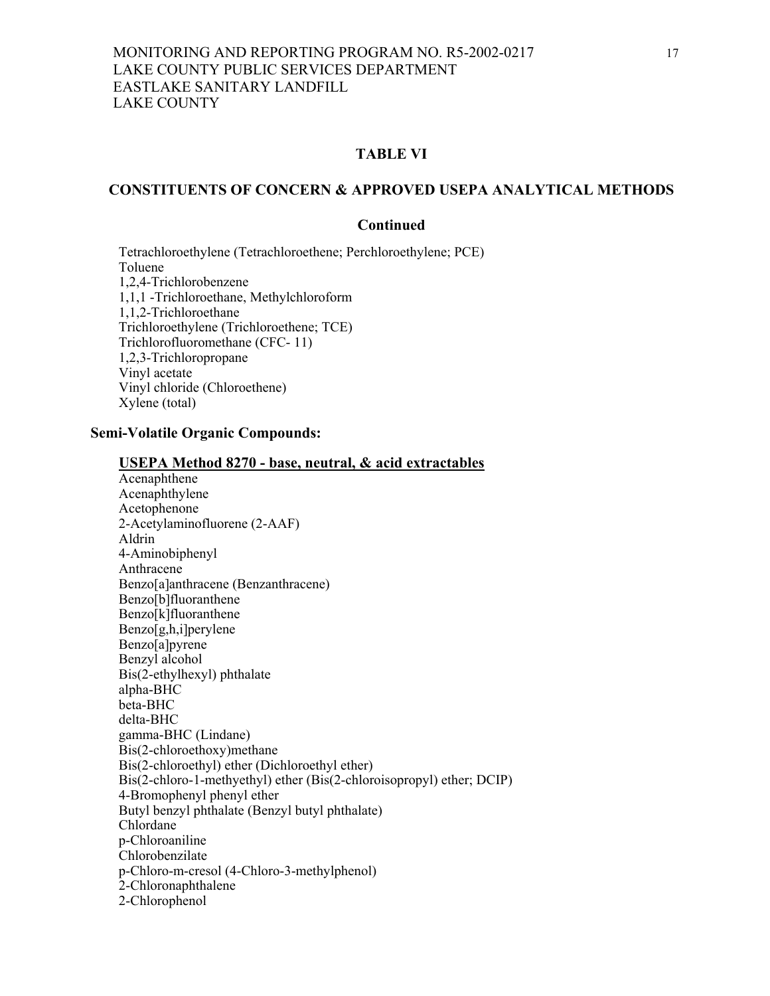## **TABLE VI**

#### **CONSTITUENTS OF CONCERN & APPROVED USEPA ANALYTICAL METHODS**

#### **Continued**

Tetrachloroethylene (Tetrachloroethene; Perchloroethylene; PCE) Toluene 1,2,4-Trichlorobenzene 1,1,1 -Trichloroethane, Methylchloroform 1,1,2-Trichloroethane Trichloroethylene (Trichloroethene; TCE) Trichlorofluoromethane (CFC- 11) 1,2,3-Trichloropropane Vinyl acetate Vinyl chloride (Chloroethene) Xylene (total)

# **Semi-Volatile Organic Compounds:**

| <b>USEPA Method 8270 - base, neutral, &amp; acid extractables</b>     |  |
|-----------------------------------------------------------------------|--|
| Acenaphthene                                                          |  |
| Acenaphthylene                                                        |  |
| Acetophenone                                                          |  |
| 2-Acetylaminofluorene (2-AAF)                                         |  |
| Aldrin                                                                |  |
| 4-Aminobiphenyl                                                       |  |
| Anthracene                                                            |  |
| Benzo[a]anthracene (Benzanthracene)                                   |  |
| Benzo[b]fluoranthene                                                  |  |
| Benzo[k]fluoranthene                                                  |  |
| Benzo[g,h,i]perylene                                                  |  |
| Benzo[a]pyrene                                                        |  |
| Benzyl alcohol                                                        |  |
| Bis(2-ethylhexyl) phthalate                                           |  |
| alpha-BHC                                                             |  |
| beta-BHC                                                              |  |
| delta-BHC                                                             |  |
| gamma-BHC (Lindane)                                                   |  |
| Bis(2-chloroethoxy)methane                                            |  |
| Bis(2-chloroethyl) ether (Dichloroethyl ether)                        |  |
| Bis(2-chloro-1-methyethyl) ether (Bis(2-chloroisopropyl) ether; DCIP) |  |
| 4-Bromophenyl phenyl ether                                            |  |
| Butyl benzyl phthalate (Benzyl butyl phthalate)                       |  |
| Chlordane                                                             |  |
| p-Chloroaniline                                                       |  |
| Chlorobenzilate                                                       |  |
| p-Chloro-m-cresol (4-Chloro-3-methylphenol)                           |  |
| 2-Chloronaphthalene                                                   |  |
| 2-Chlorophenol                                                        |  |
|                                                                       |  |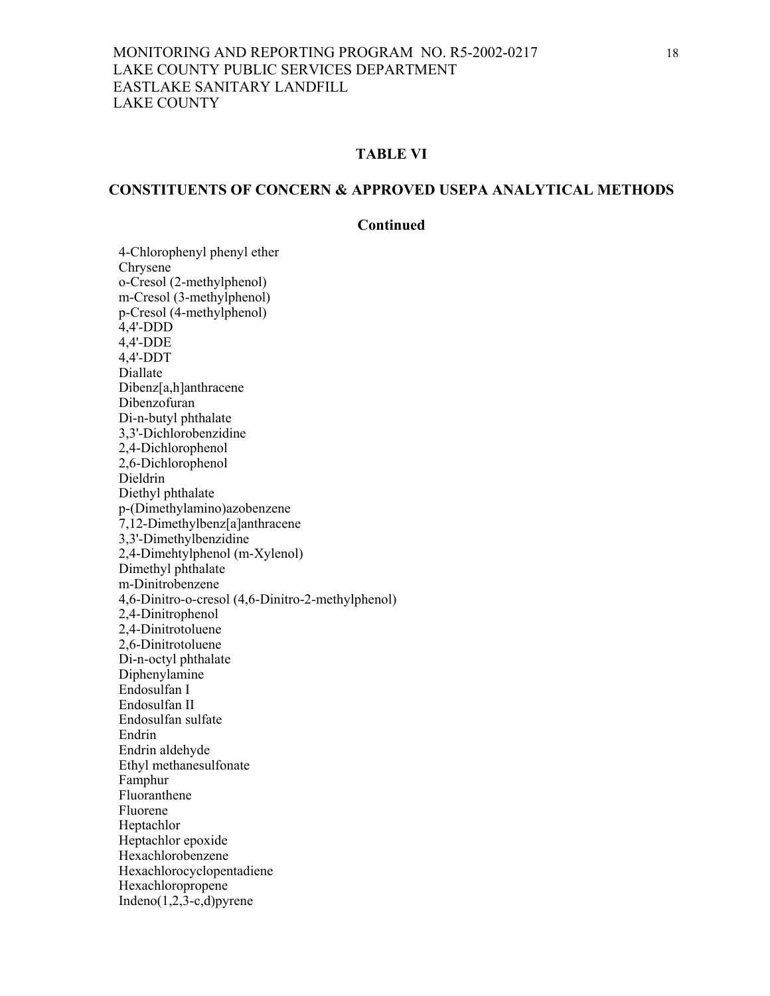## **TABLE VI**

# **CONSTITUENTS OF CONCERN & APPROVED USEPA ANALYTICAL METHODS**

#### **Continued**

4-Chlorophenyl phenyl ether Chrysene o-Cresol (2-methylphenol) m-Cresol (3-methylphenol) p-Cresol (4-methylphenol) 4,4'-DDD 4,4'-DDE 4,4'-DDT Diallate Dibenz[a,h]anthracene Dibenzofuran Di-n-butyl phthalate 3,3'-Dichlorobenzidine 2,4-Dichlorophenol 2,6-Dichlorophenol Dieldrin Diethyl phthalate p-(Dimethylamino)azobenzene 7,12-Dimethylbenz[a]anthracene 3,3'-Dimethylbenzidine 2,4-Dimehtylphenol (m-Xylenol) Dimethyl phthalate m-Dinitrobenzene 4,6-Dinitro-o-cresol (4,6-Dinitro-2-methylphenol) 2,4-Dinitrophenol 2,4-Dinitrotoluene 2,6-Dinitrotoluene Di-n-octyl phthalate Diphenylamine Endosulfan I Endosulfan II Endosulfan sulfate Endrin Endrin aldehyde Ethyl methanesulfonate Famphur Fluoranthene Fluorene Heptachlor Heptachlor epoxide Hexachlorobenzene Hexachlorocyclopentadiene Hexachloropropene Indeno $(1,2,3-c,d)$  pyrene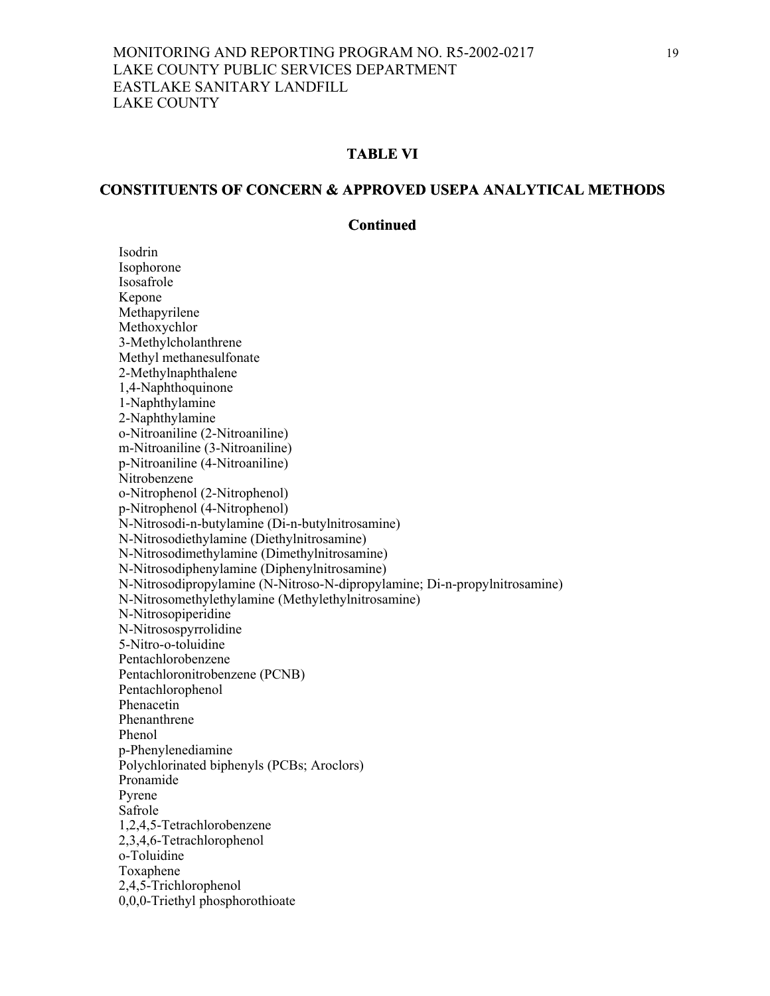#### **TABLE VI**

#### **CONSTITUENTS OF CONCERN & APPROVED USEPA ANALYTICAL METHODS**

#### **Continued**

 Isodrin Isophorone Isosafrole Kepone Methapyrilene Methoxychlor 3-Methylcholanthrene Methyl methanesulfonate 2-Methylnaphthalene 1,4-Naphthoquinone 1-Naphthylamine 2-Naphthylamine o-Nitroaniline (2-Nitroaniline) m-Nitroaniline (3-Nitroaniline) p-Nitroaniline (4-Nitroaniline) Nitrobenzene o-Nitrophenol (2-Nitrophenol) p-Nitrophenol (4-Nitrophenol) N-Nitrosodi-n-butylamine (Di-n-butylnitrosamine) N-Nitrosodiethylamine (Diethylnitrosamine) N-Nitrosodimethylamine (Dimethylnitrosamine) N-Nitrosodiphenylamine (Diphenylnitrosamine) N-Nitrosodipropylamine (N-Nitroso-N-dipropylamine; Di-n-propylnitrosamine) N-Nitrosomethylethylamine (Methylethylnitrosamine) N-Nitrosopiperidine N-Nitrosospyrrolidine 5-Nitro-o-toluidine Pentachlorobenzene Pentachloronitrobenzene (PCNB) Pentachlorophenol Phenacetin Phenanthrene Phenol p-Phenylenediamine Polychlorinated biphenyls (PCBs; Aroclors) Pronamide Pyrene Safrole 1,2,4,5-Tetrachlorobenzene 2,3,4,6-Tetrachlorophenol o-Toluidine Toxaphene 2,4,5-Trichlorophenol 0,0,0-Triethyl phosphorothioate